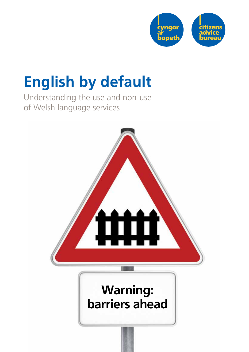

# **English by default**

Understanding the use and non-use of Welsh language services

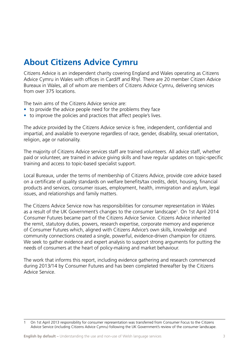### **About Citizens Advice Cymru**

Citizens Advice is an independent charity covering England and Wales operating as Citizens Advice Cymru in Wales with offices in Cardiff and Rhyl. There are 20 member Citizen Advice Bureaux in Wales, all of whom are members of Citizens Advice Cymru, delivering services from over 375 locations.

The twin aims of the Citizens Advice service are:

- to provide the advice people need for the problems they face
- to improve the policies and practices that affect people's lives.

The advice provided by the Citizens Advice service is free, independent, confidential and impartial, and available to everyone regardless of race, gender, disability, sexual orientation, religion, age or nationality.

The majority of Citizens Advice services staff are trained volunteers. All advice staff, whether paid or volunteer, are trained in advice giving skills and have regular updates on topic-specific training and access to topic-based specialist support.

Local Bureaux, under the terms of membership of Citizens Advice, provide core advice based on a certificate of quality standards on welfare benefits/tax credits, debt, housing, financial products and services, consumer issues, employment, health, immigration and asylum, legal issues, and relationships and family matters.

The Citizens Advice Service now has responsibilities for consumer representation in Wales as a result of the UK Government's changes to the consumer landscape<sup>1</sup>. On 1st April 2014 Consumer Futures became part of the Citizens Advice Service. Citizens Advice inherited the remit, statutory duties, powers, research expertise, corporate memory and experience of Consumer Futures which, aligned with Citizens Advice's own skills, knowledge and community connections created a single, powerful, evidence-driven champion for citizens. We seek to gather evidence and expert analysis to support strong arguments for putting the needs of consumers at the heart of policy-making and market behaviour.

The work that informs this report, including evidence gathering and research commenced during 2013/14 by Consumer Futures and has been completed thereafter by the Citizens Advice Service.

<sup>1</sup> On 1st April 2013 responsibility for consumer representation was transferred from Consumer Focus to the Citizens Advice Service (including Citizens Advice Cymru) following the UK Government's review of the consumer landscape.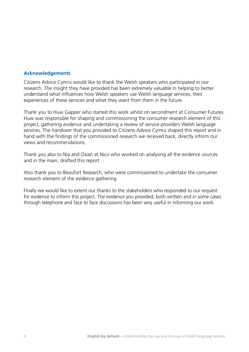### **Acknowledgements**

Citizens Advice Cymru would like to thank the Welsh speakers who participated in our research. The insight they have provided has been extremely valuable in helping to better understand what influences how Welsh speakers use Welsh language services, their experiences of these services and what they want from them in the future.

Thank you to Huw Gapper who started this work whilst on secondment at Consumer Futures. Huw was responsible for shaping and commissioning the consumer research element of this project, gathering evidence and undertaking a review of service providers Welsh language services. The handover that you provided to Citizens Advice Cymru shaped this report and in hand with the findings of the commissioned research we received back, directly inform our views and recommendations.

Thank you also to Nia and Osian at Nico who worked on analysing all the evidence sources and in the main, drafted this report.

Also thank you to Beaufort Research, who were commissioned to undertake the consumer research element of the evidence gathering.

Finally we would like to extent our thanks to the stakeholders who responded to our request for evidence to inform this project. The evidence you provided, both written and in some cases through telephone and face to face discussions has been very useful in informing our work.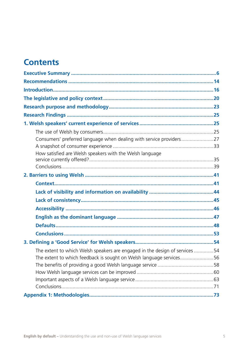### **Contents**

| Consumers' preferred language when dealing with service providers27         |  |
|-----------------------------------------------------------------------------|--|
|                                                                             |  |
| How satisfied are Welsh speakers with the Welsh language                    |  |
|                                                                             |  |
|                                                                             |  |
|                                                                             |  |
|                                                                             |  |
|                                                                             |  |
|                                                                             |  |
|                                                                             |  |
|                                                                             |  |
|                                                                             |  |
|                                                                             |  |
|                                                                             |  |
| The extent to which Welsh speakers are engaged in the design of services 54 |  |
| The extent to which feedback is sought on Welsh language services56         |  |
|                                                                             |  |
|                                                                             |  |
|                                                                             |  |
|                                                                             |  |
|                                                                             |  |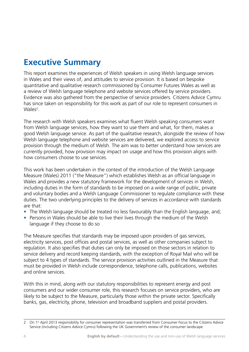### **Executive Summary**

This report examines the experiences of Welsh speakers in using Welsh language services in Wales and their views of, and attitudes to service provision. It is based on bespoke quantitative and qualitative research commissioned by Consumer Futures Wales as well as a review of Welsh language telephone and website services offered by service providers. Evidence was also gathered from the perspective of service providers. Citizens Advice Cymru has since taken on responsibility for this work as part of our role to represent consumers in Wales<sup>2</sup>.

The research with Welsh speakers examines what fluent Welsh speaking consumers want from Welsh language services, how they want to use them and what, for them, makes a good Welsh language service. As part of the qualitative research, alongside the review of how Welsh language telephone and website services are delivered, we explored access to service provision through the medium of Welsh. The aim was to better understand how services are currently provided, how provision may impact on usage and how this provision aligns with how consumers choose to use services.

This work has been undertaken in the context of the introduction of the Welsh Language Measure (Wales) 2011 ("the Measure") which establishes Welsh as an official language in Wales and provides a new statutory framework for the development of services in Welsh, including duties in the form of standards to be imposed on a wide range of public, private and voluntary bodies and a Welsh Language Commissioner to regulate compliance with these duties. The two underlying principles to the delivery of services in accordance with standards are that:

- The Welsh language should be treated no less favourably than the English language, and;
- Persons in Wales should be able to live their lives through the medium of the Welsh language if they choose to do so

The Measure specifies that standards may be imposed upon providers of gas services, electricity services, post offices and postal services, as well as other companies subject to regulation. It also specifies that duties can only be imposed on those sectors in relation to service delivery and record keeping standards, with the exception of Royal Mail who will be subject to 4 types of standards. The service provision activities outlined in the Measure that must be provided in Welsh include correspondence, telephone calls, publications, websites and online services.

With this in mind, along with our statutory responsibilities to represent energy and post consumers and our wider consumer role, this research focuses on service providers, who are likely to be subject to the Measure, particularly those within the private sector. Specifically banks, gas, electricity, phone, television and broadband suppliers and postal providers.

<sup>2</sup> On 1<sup>st</sup> April 2013 responsibility for consumer representation was transferred from Consumer Focus to the Citizens Advice Service (including Citizens Advice Cymru) following the UK Government's review of the consumer landscape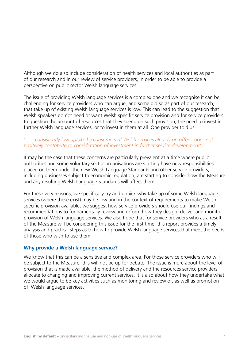Although we do also include consideration of health services and local authorities as part of our research and in our review of service providers, in order to be able to provide a perspective on public sector Welsh language services.

The issue of providing Welsh language services is a complex one and we recognise it can be challenging for service providers who can argue, and some did so as part of our research, that take up of existing Welsh language services is low. This can lead to the suggestion that Welsh speakers do not need or want Welsh specific service provision and for service providers to question the amount of resources that they spend on such provision, the need to invest in further Welsh language services, or to invest in them at all. One provider told us:

### *'……consistently low uptake by consumers of Welsh services already on offer…does not positively contribute to consideration of investment in further service development'.*

It may be the case that these concerns are particularly prevalent at a time where public authorities and some voluntary sector organisations are starting have new responsibilities placed on them under the new Welsh Language Standards and other service providers, including businesses subject to economic regulation, are starting to consider how the Measure and any resulting Welsh Language Standards will affect them.

For these very reasons, we specifically try and unpick why take up of some Welsh language services (where these exist) may be low and in the context of requirements to make Welsh specific provision available, we suggest how service providers should use our findings and recommendations to fundamentally review and reform how they design, deliver and monitor provision of Welsh language services. We also hope that for service providers who as a result of the Measure will be considering this issue for the first time, this report provides a timely analysis and practical steps as to how to provide Welsh language services that meet the needs of those who wish to use them.

### **Why provide a Welsh language service?**

We know that this can be a sensitive and complex area. For those service providers who will be subject to the Measure, this will not be up for debate. The issue is more about the level of provision that is made available, the method of delivery and the resources service providers allocate to changing and improving current services. It is also about how they undertake what we would argue to be key activities such as monitoring and review of, as well as promotion of, Welsh language services.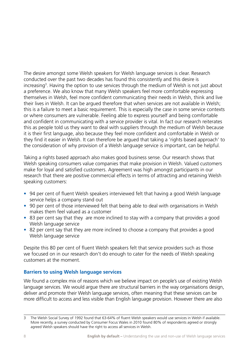The desire amongst some Welsh speakers for Welsh language services is clear. Research conducted over the past two decades has found this consistently and this desire is increasing<sup>3</sup>. Having the option to use services through the medium of Welsh is not just about a preference. We also know that many Welsh speakers feel more comfortable expressing themselves in Welsh, feel more confident communicating their needs in Welsh, think and live their lives in Welsh. It can be argued therefore that when services are not available in Welsh; this is a failure to meet a basic requirement. This is especially the case in some service contexts or where consumers are vulnerable. Feeling able to express yourself and being comfortable and confident in communicating with a service provider is vital. In fact our research reiterates this as people told us they want to deal with suppliers through the medium of Welsh because it is their first language, also because they feel more confident and comfortable in Welsh or they find it easier in Welsh. It can therefore be argued that taking a 'rights based approach' to the consideration of why provision of a Welsh language service is important, can be helpful.

Taking a rights based approach also makes good business sense. Our research shows that Welsh speaking consumers value companies that make provision in Welsh. Valued customers make for loyal and satisfied customers. Agreement was high amongst participants in our research that there are positive commercial effects in terms of attracting and retaining Welsh speaking customers:

- 94 per cent of fluent Welsh speakers interviewed felt that having a good Welsh language service helps a company stand out
- 90 per cent of those interviewed felt that being able to deal with organisations in Welsh makes them feel valued as a customer
- 83 per cent say that they are more inclined to stay with a company that provides a good Welsh language service
- 82 per cent say that they are more inclined to choose a company that provides a good Welsh language service

Despite this 80 per cent of fluent Welsh speakers felt that service providers such as those we focused on in our research don't do enough to cater for the needs of Welsh speaking customers at the moment.

### **Barriers to using Welsh language services**

We found a complex mix of reasons which we believe impact on people's use of existing Welsh language services. We would argue there are structural barriers in the way organisations design, deliver and promote their Welsh language services, often meaning that these services can be more difficult to access and less visible than English language provision. However there are also

The Welsh Social Survey of 1992 found that 63-64% of fluent Welsh speakers would use services in Welsh if available. More recently, a survey conducted by Consumer Focus Wales in 2010 found 80% of respondents agreed or strongly agreed Welsh speakers should have the right to access all services in Welsh.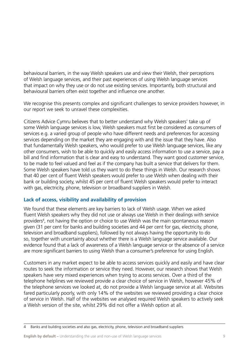behavioural barriers, in the way Welsh speakers use and view their Welsh, their perceptions of Welsh language services, and their past experiences of using Welsh language services that impact on why they use or do not use existing services. Importantly, both structural and behavioural barriers often exist together and influence one another.

We recognise this presents complex and significant challenges to service providers however, in our report we seek to unravel these complexities.

Citizens Advice Cymru believes that to better understand why Welsh speakers' take up of some Welsh language services is low, Welsh speakers must first be considered as consumers of services e.g. a varied group of people who have different needs and preferences for accessing services depending on the market they are engaging with and the issue that they have. Also that fundamentally Welsh speakers, who would prefer to use Welsh language services, like any other consumers, wish to be able to quickly and easily access information to use a service, pay a bill and find information that is clear and easy to understand. They want good customer service, to be made to feel valued and feel as if the company has built a service that delivers for them. Some Welsh speakers have told us they want to do these things in Welsh. Our research shows that 40 per cent of fluent Welsh speakers would prefer to use Welsh when dealing with their bank or building society, whilst 45 per cent of fluent Welsh speakers would prefer to interact with gas, electricity, phone, television or broadband suppliers in Welsh.

### **Lack of access, visibility and availability of provision**

We found that these elements are key barriers to lack of Welsh usage. When we asked fluent Welsh speakers why they did not use or always use Welsh in their dealings with service providers<sup>4</sup>, not having the option or choice to use Welsh was the main spontaneous reason given (31 per cent for banks and building societies and 44 per cent for gas, electricity, phone, television and broadband suppliers), followed by not always having the opportunity to do so, together with uncertainty about whether there is a Welsh language service available. Our evidence found that a lack of awareness of a Welsh language service or the absence of a service are more significant barriers to using Welsh than a consumer's preference for using English.

Customers in any market expect to be able to access services quickly and easily and have clear routes to seek the information or service they need. However, our research shows that Welsh speakers have very mixed experiences when trying to access services. Over a third of the telephone helplines we reviewed provide a clear choice of service in Welsh, however 45% of the telephone services we looked at, do not provide a Welsh language service at all. Websites fared particularly poorly, with only 14% of the websites we reviewed providing a clear choice of service in Welsh. Half of the websites we analysed required Welsh speakers to actively seek a Welsh version of the site, whilst 29% did not offer a Welsh option at all.

<sup>4</sup> Banks and building societies and also gas, electricity, phone, television and broadband suppliers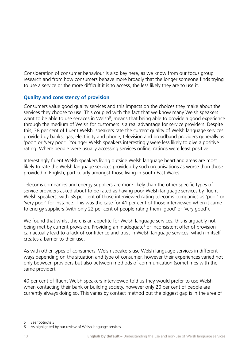Consideration of consumer behaviour is also key here, as we know from our focus group research and from how consumers behave more broadly that the longer someone finds trying to use a service or the more difficult it is to access, the less likely they are to use it.

### **Quality and consistency of provision**

Consumers value good quality services and this impacts on the choices they make about the services they choose to use. This coupled with the fact that we know many Welsh speakers want to be able to use services in Welsh<sup>5</sup>, means that being able to provide a good experience through the medium of Welsh for customers is a real advantage for service providers. Despite this, 38 per cent of fluent Welsh speakers rate the current quality of Welsh language services provided by banks, gas, electricity and phone, television and broadband providers generally as 'poor' or 'very poor'. Younger Welsh speakers interestingly were less likely to give a positive rating. Where people were usually accessing services online, ratings were least positive.

Interestingly fluent Welsh speakers living outside Welsh language heartland areas are most likely to rate the Welsh language services provided by such organisations as worse than those provided in English, particularly amongst those living in South East Wales.

Telecoms companies and energy suppliers are more likely than the other specific types of service providers asked about to be rated as having poor Welsh language services by fluent Welsh speakers, with 58 per cent of those interviewed rating telecoms companies as 'poor' or 'very poor' for instance. This was the case for 41 per cent of those interviewed when it came to energy suppliers (with only 22 per cent of people rating them 'good' or 'very good').

We found that whilst there is an appetite for Welsh language services, this is arguably not being met by current provision. Providing an inadequate<sup>6</sup> or inconsistent offer of provision can actually lead to a lack of confidence and trust in Welsh language services, which in itself creates a barrier to their use.

As with other types of consumers, Welsh speakers use Welsh language services in different ways depending on the situation and type of consumer, however their experiences varied not only between providers but also between methods of communication (sometimes with the same provider).

40 per cent of fluent Welsh speakers interviewed told us they would prefer to use Welsh when contacting their bank or building society, however only 20 per cent of people are currently always doing so. This varies by contact method but the biggest gap is in the area of

<sup>5</sup> See footnote 3

<sup>6</sup> As highlighted by our review of Welsh language services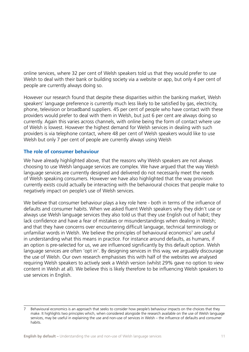online services, where 32 per cent of Welsh speakers told us that they would prefer to use Welsh to deal with their bank or building society via a website or app, but only 4 per cent of people are currently always doing so.

However our research found that despite these disparities within the banking market, Welsh speakers' language preference is currently much less likely to be satisfied by gas, electricity, phone, television or broadband suppliers. 45 per cent of people who have contact with these providers would prefer to deal with them in Welsh, but just 6 per cent are always doing so currently. Again this varies across channels, with online being the form of contact where use of Welsh is lowest. However the highest demand for Welsh services in dealing with such providers is via telephone contact, where 48 per cent of Welsh speakers would like to use Welsh but only 7 per cent of people are currently always using Welsh

### **The role of consumer behaviour**

We have already highlighted above, that the reasons why Welsh speakers are not always choosing to use Welsh language services are complex. We have argued that the way Welsh language services are currently designed and delivered do not necessarily meet the needs of Welsh speaking consumers. However we have also highlighted that the way provision currently exists could actually be interacting with the behavioural choices that people make to negatively impact on people's use of Welsh services.

We believe that consumer behaviour plays a key role here - both in terms of the influence of defaults and consumer habits. When we asked fluent Welsh speakers why they didn't use or always use Welsh language services they also told us that they use English out of habit; they lack confidence and have a fear of mistakes or misunderstandings when dealing in Welsh; and that they have concerns over encountering difficult language, technical terminology or unfamiliar words in Welsh. We believe the principles of behavioural economics<sup>7</sup> are useful in understanding what this means in practice. For instance around defaults, as humans, if an option is pre-selected for us, we are influenced significantly by this default option. Welsh language services are often 'opt in'. By designing services in this way, we arguably discourage the use of Welsh. Our own research emphasises this with half of the websites we analysed requiring Welsh speakers to actively seek a Welsh version (whilst 29% gave no option to view content in Welsh at all). We believe this is likely therefore to be influencing Welsh speakers to use services in English.

<sup>7</sup> Behavioural economics is an approach that seeks to consider how people's behaviour impacts on the choices that they make. It highlights two principles which, when considered alongside the research available on the use of Welsh language services, may be useful in explaining the use and non-use of services in Welsh – the influence of defaults and consumer habits.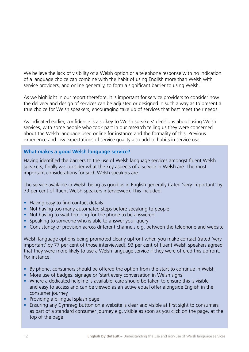We believe the lack of visibility of a Welsh option or a telephone response with no indication of a language choice can combine with the habit of using English more than Welsh with service providers, and online generally, to form a significant barrier to using Welsh.

As we highlight in our report therefore, it is important for service providers to consider how the delivery and design of services can be adjusted or designed in such a way as to present a true choice for Welsh speakers, encouraging take up of services that best meet their needs.

As indicated earlier, confidence is also key to Welsh speakers' decisions about using Welsh services, with some people who took part in our research telling us they were concerned about the Welsh language used online for instance and the formality of this. Previous experience and low expectations of service quality also add to habits in service use.

### **What makes a good Welsh language service?**

Having identified the barriers to the use of Welsh language services amongst fluent Welsh speakers, finally we consider what the key aspects of a service in Welsh are. The most important considerations for such Welsh speakers are:

The service available in Welsh being as good as in English generally (rated 'very important' by 79 per cent of fluent Welsh speakers interviewed). This included:

- Having easy to find contact details
- Not having too many automated steps before speaking to people
- Not having to wait too long for the phone to be answered
- Speaking to someone who is able to answer your query
- Consistency of provision across different channels e.g. between the telephone and website

Welsh language options being promoted clearly upfront when you make contact (rated 'very important' by 77 per cent of those interviewed). 93 per cent of fluent Welsh speakers agreed that they were more likely to use a Welsh language service if they were offered this upfront. For instance:

- By phone, consumers should be offered the option from the start to continue in Welsh
- More use of badges, signage or 'start every conversation in Welsh signs'
- Where a dedicated helpline is available, care should be taken to ensure this is visible and easy to access and can be viewed as an active equal offer alongside English in the consumer journey
- Providing a bilingual splash page
- Ensuring any Cymraeg button on a website is clear and visible at first sight to consumers as part of a standard consumer journey e.g. visible as soon as you click on the page, at the top of the page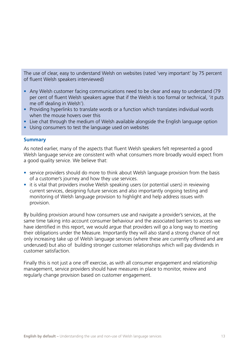The use of clear, easy to understand Welsh on websites (rated 'very important' by 75 percent of fluent Welsh speakers interviewed)

- Any Welsh customer facing communications need to be clear and easy to understand (79) per cent of fluent Welsh speakers agree that if the Welsh is too formal or technical, 'it puts me off dealing in Welsh').
- Providing hyperlinks to translate words or a function which translates individual words when the mouse hovers over this
- Live chat through the medium of Welsh available alongside the English language option
- Using consumers to test the language used on websites

#### **Summary**

As noted earlier, many of the aspects that fluent Welsh speakers felt represented a good Welsh language service are consistent with what consumers more broadly would expect from a good quality service. We believe that:

- service providers should do more to think about Welsh language provision from the basis of a customer's journey and how they use services.
- it is vital that providers involve Welsh speaking users (or potential users) in reviewing current services, designing future services and also importantly ongoing testing and monitoring of Welsh language provision to highlight and help address issues with provision.

By building provision around how consumers use and navigate a provider's services, at the same time taking into account consumer behaviour and the associated barriers to access we have identified in this report, we would argue that providers will go a long way to meeting their obligations under the Measure. Importantly they will also stand a strong chance of not only increasing take up of Welsh language services (where these are currently offered and are underused) but also of building stronger customer relationships which will pay dividends in customer satisfaction.

Finally this is not just a one off exercise, as with all consumer engagement and relationship management, service providers should have measures in place to monitor, review and regularly change provision based on customer engagement.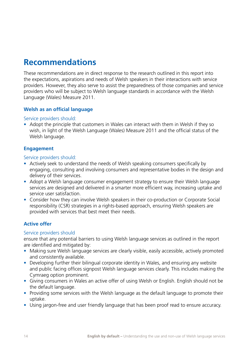### **Recommendations**

These recommendations are in direct response to the research outlined in this report into the expectations, aspirations and needs of Welsh speakers in their interactions with service providers. However, they also serve to assist the preparedness of those companies and service providers who will be subject to Welsh language standards in accordance with the Welsh Language (Wales) Measure 2011.

### **Welsh as an official language**

#### Service providers should:

• Adopt the principle that customers in Wales can interact with them in Welsh if they so wish, in light of the Welsh Language (Wales) Measure 2011 and the official status of the Welsh language.

### **Engagement**

#### Service providers should:

- Actively seek to understand the needs of Welsh speaking consumers specifically by engaging, consulting and involving consumers and representative bodies in the design and delivery of their services.
- Adopt a Welsh language consumer engagement strategy to ensure their Welsh language services are designed and delivered in a smarter more efficient way, increasing uptake and service user satisfaction.
- Consider how they can involve Welsh speakers in their co-production or Corporate Social responsibility (CSR) strategies in a rights-based approach, ensuring Welsh speakers are provided with services that best meet their needs.

### **Active offer**

#### Service providers should

ensure that any potential barriers to using Welsh language services as outlined in the report are identified and mitigated by:

- Making sure Welsh language services are clearly visible, easily accessible, actively promoted and consistently available.
- Developing further their bilingual corporate identity in Wales, and ensuring any website and public facing offices signpost Welsh language services clearly. This includes making the Cymraeg option prominent.
- Giving consumers in Wales an active offer of using Welsh or English. English should not be the default language.
- Providing some services with the Welsh language as the default language to promote their uptake.
- Using jargon-free and user friendly language that has been proof read to ensure accuracy.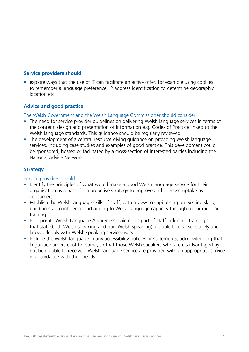### **Service providers should:**

• explore ways that the use of IT can facilitate an active offer, for example using cookies to remember a language preference, IP address identification to determine geographic location etc.

### **Advice and good practice**

The Welsh Government and the Welsh Language Commissioner should consider:

- The need for service provider guidelines on delivering Welsh language services in terms of the content, design and presentation of information e.g. Codes of Practice linked to the Welsh language standards. This guidance should be regularly reviewed.
- The development of a central resource giving guidance on providing Welsh language services, including case studies and examples of good practice. This development could be sponsored, hosted or facilitated by a cross-section of interested parties including the National Advice Network.

### **Strategy**

### Service providers should:

- Identify the principles of what would make a good Welsh language service for their organisation as a basis for a proactive strategy to improve and increase uptake by consumers.
- Establish the Welsh language skills of staff, with a view to capitalising on existing skills, building staff confidence and adding to Welsh language capacity through recruitment and training.
- Incorporate Welsh Language Awareness Training as part of staff induction training so that staff (both Welsh speaking and non-Welsh speaking) are able to deal sensitively and knowledgably with Welsh speaking service users.
- Include the Welsh language in any accessibility policies or statements, acknowledging that linguistic barriers exist for some, so that those Welsh speakers who are disadvantaged by not being able to receive a Welsh language service are provided with an appropriate service in accordance with their needs.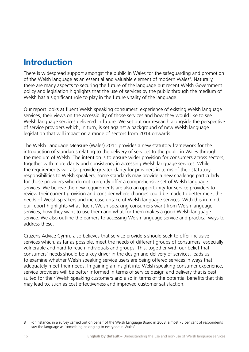### **Introduction**

There is widespread support amongst the public in Wales for the safeguarding and promotion of the Welsh language as an essential and valuable element of modern Wales<sup>8</sup>. Naturally, there are many aspects to securing the future of the language but recent Welsh Government policy and legislation highlights that the use of services by the public through the medium of Welsh has a significant role to play in the future vitality of the language.

Our report looks at fluent Welsh speaking consumers' experience of existing Welsh language services, their views on the accessibility of those services and how they would like to see Welsh language services delivered in future. We set out our research alongside the perspective of service providers which, in turn, is set against a background of new Welsh language legislation that will impact on a range of sectors from 2014 onwards.

The Welsh Language Measure (Wales) 2011 provides a new statutory framework for the introduction of standards relating to the delivery of services to the public in Wales through the medium of Welsh. The intention is to ensure wider provision for consumers across sectors, together with more clarity and consistency in accessing Welsh language services. While the requirements will also provide greater clarity for providers in terms of their statutory responsibilities to Welsh speakers, some standards may provide a new challenge particularly for those providers who do not currently offer a comprehensive set of Welsh language services. We believe the new requirements are also an opportunity for service providers to review their current provision and consider where changes could be made to better meet the needs of Welsh speakers and increase uptake of Welsh language services. With this in mind, our report highlights what fluent Welsh speaking consumers want from Welsh language services, how they want to use them and what for them makes a good Welsh language service. We also outline the barriers to accessing Welsh language service and practical ways to address these.

Citizens Advice Cymru also believes that service providers should seek to offer inclusive services which, as far as possible, meet the needs of different groups of consumers, especially vulnerable and hard to reach individuals and groups. This, together with our belief that consumers' needs should be a key driver in the design and delivery of services, leads us to examine whether Welsh speaking service users are being offered services in ways that adequately meet their needs. In gaining an insight into Welsh speaking consumer experience, service providers will be better informed in terms of service design and delivery that is best suited for their Welsh speaking customers and also in terms of the potential benefits that this may lead to, such as cost effectiveness and improved customer satisfaction.

<sup>8</sup> For instance, in a survey carried out on behalf of the Welsh Language Board in 2008, almost 75 per cent of respondents saw the language as 'something belonging to everyone in Wales'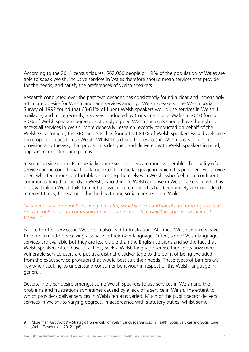According to the 2011 census figures, 562,000 people or 19% of the population of Wales are able to speak Welsh. Inclusive services in Wales therefore should mean services that provide for the needs, and satisfy the preferences of Welsh speakers.

Research conducted over the past two decades has consistently found a clear and increasingly articulated desire for Welsh language services amongst Welsh speakers. The Welsh Social Survey of 1992 found that 63-64% of fluent Welsh speakers would use services in Welsh if available, and more recently, a survey conducted by Consumer Focus Wales in 2010 found 80% of Welsh speakers agreed or strongly agreed Welsh speakers should have the right to access all services in Welsh. More generally, research recently conducted on behalf of the Welsh Government, the BBC and S4C has found that 84% of Welsh speakers would welcome more opportunities to use Welsh. Whilst this desire for services in Welsh is clear, current provision and the way that provision is designed and delivered with Welsh speakers in mind, appears inconsistent and patchy.

In some service contexts, especially where service users are more vulnerable, the quality of a service can be conditional to a large extent on the language in which it is provided. For service users who feel more comfortable expressing themselves in Welsh, who feel more confident communicating their needs in Welsh, who think in Welsh and live in Welsh, a service which is not available in Welsh fails to meet a basic requirement. This has been widely acknowledged in recent times, for example, by the health and social care sector in Wales:

### *"It is important for people working in health, social services and social care to recognise that many people can only communicate their care needs effectively through the medium of Welsh9 ."*

Failure to offer services in Welsh can also lead to frustration. At times, Welsh speakers have to complain before receiving a service in their own language. Often, some Welsh language services are available but they are less visible than the English versions and so the fact that Welsh speakers often have to actively seek a Welsh language service highlights how more vulnerable service users are put at a distinct disadvantage to the point of being excluded from the exact service provision that would best suit their needs. These types of barriers are key when seeking to understand consumer behaviour in respect of the Welsh language in general.

Despite the clear desire amongst some Welsh speakers to use services in Welsh and the problems and frustrations sometimes caused by a lack of a service in Welsh, the extent to which providers deliver services in Welsh remains varied. Much of the public sector delivers services in Welsh, to varying degrees, in accordance with statutory duties, whilst some

<sup>9</sup> 'More than Just Words' – Strategic Framework for Welsh Language Services in Health, Social Services and Social Care (Welsh Government 2012 – p6)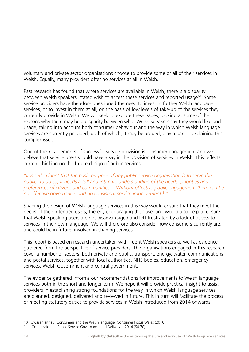voluntary and private sector organisations choose to provide some or all of their services in Welsh. Equally, many providers offer no services at all in Welsh.

Past research has found that where services are available in Welsh, there is a disparity between Welsh speakers' stated wish to access these services and reported usage<sup>10</sup>. Some service providers have therefore questioned the need to invest in further Welsh language services, or to invest in them at all, on the basis of low levels of take-up of the services they currently provide in Welsh. We will seek to explore these issues, looking at some of the reasons why there may be a disparity between what Welsh speakers say they would like and usage, taking into account both consumer behaviour and the way in which Welsh language services are currently provided, both of which, it may be argued, play a part in explaining this complex issue.

One of the key elements of successful service provision is consumer engagement and we believe that service users should have a say in the provision of services in Welsh. This reflects current thinking on the future design of public services:

### *"It is self-evident that the basic purpose of any public service organisation is to serve the public. To do so, it needs a full and intimate understanding of the needs, priorities and preferences of citizens and communities… Without effective public engagement there can be no effective governance, and no consistent service improvement.*11*"*

Shaping the design of Welsh language services in this way would ensure that they meet the needs of their intended users, thereby encouraging their use, and would also help to ensure that Welsh speaking users are not disadvantaged and left frustrated by a lack of access to services in their own language. We will therefore also consider how consumers currently are, and could be in future, involved in shaping services.

This report is based on research undertaken with fluent Welsh speakers as well as evidence gathered from the perspective of service providers. The organisations engaged in this research cover a number of sectors, both private and public: transport, energy, water, communications and postal services, together with local authorities, NHS bodies, education, emergency services, Welsh Government and central government.

The evidence gathered informs our recommendations for improvements to Welsh language services both in the short and longer term. We hope it will provide practical insight to assist providers in establishing strong foundations for the way in which Welsh language services are planned, designed, delivered and reviewed in future. This in turn will facilitate the process of meeting statutory duties to provide services in Welsh introduced from 2014 onwards,

<sup>10</sup> Gwasaniaithau: Consumers and the Welsh language. Consumer Focus Wales (2010)

<sup>11 &#</sup>x27;Commission on Public Service Governance and Delivery' - 2014 (S4.30)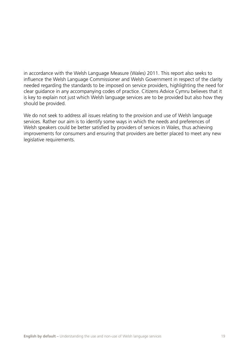in accordance with the Welsh Language Measure (Wales) 2011. This report also seeks to influence the Welsh Language Commissioner and Welsh Government in respect of the clarity needed regarding the standards to be imposed on service providers, highlighting the need for clear guidance in any accompanying codes of practice. Citizens Advice Cymru believes that it is key to explain not just which Welsh language services are to be provided but also how they should be provided.

We do not seek to address all issues relating to the provision and use of Welsh language services. Rather our aim is to identify some ways in which the needs and preferences of Welsh speakers could be better satisfied by providers of services in Wales, thus achieving improvements for consumers and ensuring that providers are better placed to meet any new legislative requirements.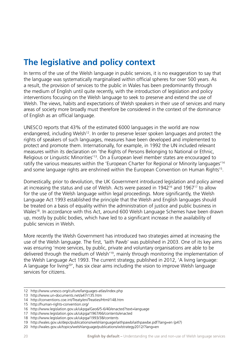### **The legislative and policy context**

In terms of the use of the Welsh language in public services, it is no exaggeration to say that the language was systematically marginalised within official spheres for over 500 years. As a result, the provision of services to the public in Wales has been predominantly through the medium of English until quite recently, with the introduction of legislation and policy interventions focusing on the Welsh language to seek to preserve and extend the use of Welsh. The views, habits and expectations of Welsh speakers in their use of services and many areas of society more broadly must therefore be considered in the context of the dominance of English as an official language.

UNESCO reports that 43% of the estimated 6000 languages in the world are now endangered, including Welsh<sup>12</sup>. In order to preserve lesser spoken languages and protect the rights of speakers of such languages, measures have been developed and implemented to protect and promote them. Internationally, for example, in 1992 the UN included relevant measures within its declaration on 'the Rights of Persons Belonging to National or Ethnic, Religious or Linguistic Minorities'13. On a European level member states are encouraged to ratify the various measures within the 'European Charter for Regional or Minority languages'14 and some language rights are enshrined within the European Convention on Human Rights<sup>15</sup>.

Domestically, prior to devolution, the UK Government introduced legislation and policy aimed at increasing the status and use of Welsh. Acts were passed in 1942<sup>16</sup> and 1967<sup>17</sup> to allow for the use of the Welsh language within legal proceedings. More significantly, the Welsh Language Act 1993 established the principle that the Welsh and English languages should be treated on a basis of equality within the administration of justice and public business in Wales<sup>18</sup>. In accordance with this Act, around 600 Welsh Language Schemes have been drawn up, mostly by public bodies, which have led to a significant increase in the availability of public services in Welsh.

More recently the Welsh Government has introduced two strategies aimed at increasing the use of the Welsh language. The first, 'Iaith Pawb' was published in 2003. One of its key aims was ensuring 'more services, by public, private and voluntary organisations are able to be delivered through the medium of Welsh'19, mainly through monitoring the implementation of the Welsh Language Act 1993. The current strategy, published in 2012, 'A living language: A language for living<sup>20'</sup>, has six clear aims including the vision to improve Welsh language services for citizens.

<sup>12</sup> http://www.unesco.org/culture/languages-atlas/index.php

<sup>13</sup> http://www.un-documents.net/a47r135.htm

<sup>14</sup> http://conventions.coe.int/Treaty/en/Treaties/Html/148.htm

<sup>15</sup> http://human-rights-convention.org/

<sup>16</sup> http://www.legislation.gov.uk/ukpga/Geo6/5-6/40/enacted?text=language

<sup>17</sup> http://www.legislation.gov.uk/ukpga/1967/66/contents/enacted

<sup>18</sup> http://www.legislation.gov.uk/ukpga/1993/38/contents

<sup>19</sup> http://wales.gov.uk/depc/publications/welshlanguage/iaithpawb/iaithpawbe.pdf?lang=en (p47)

<sup>20</sup> http://wales.gov.uk/topics/welshlanguage/publications/wlstrategy2012/?lang=en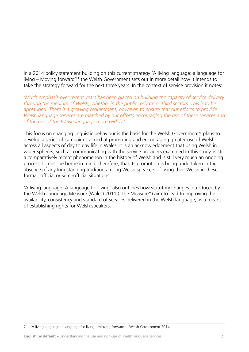In a 2014 policy statement building on this current strategy 'A living language: a language for living – Moving forward'21 the Welsh Government sets out in more detail how it intends to take the strategy forward for the next three years. In the context of service provision it notes:

*'Much emphasis over recent years has been placed on building the capacity of service delivery through the medium of Welsh, whether in the public, private or third sectors. This is to be applauded. There is a growing requirement, however, to ensure that our efforts to provide Welsh language services are matched by our efforts encouraging the use of these services and of the use of the Welsh language more widely.'*

This focus on changing linguistic behaviour is the basis for the Welsh Government's plans to develop a series of campaigns aimed at promoting and encouraging greater use of Welsh across all aspects of day to day life in Wales. It is an acknowledgement that using Welsh in wider spheres, such as communicating with the service providers examined in this study, is still a comparatively recent phenomenon in the history of Welsh and is still very much an ongoing process. It must be borne in mind, therefore, that its promotion is being undertaken in the absence of any longstanding tradition among Welsh speakers of using their Welsh in these formal, official or semi-official situations.

'A living language: A language for living' also outlines how statutory changes introduced by the Welsh Language Measure (Wales) 2011 ("the Measure") aim to lead to improving the availability, consistency and standard of services delivered in the Welsh language, as a means of establishing rights for Welsh speakers.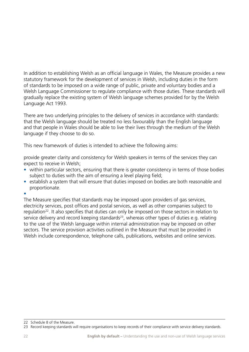In addition to establishing Welsh as an official language in Wales, the Measure provides a new statutory framework for the development of services in Welsh, including duties in the form of standards to be imposed on a wide range of public, private and voluntary bodies and a Welsh Language Commissioner to regulate compliance with those duties. These standards will gradually replace the existing system of Welsh language schemes provided for by the Welsh Language Act 1993.

There are two underlying principles to the delivery of services in accordance with standards: that the Welsh language should be treated no less favourably than the English language and that people in Wales should be able to live their lives through the medium of the Welsh language if they choose to do so.

This new framework of duties is intended to achieve the following aims:

provide greater clarity and consistency for Welsh speakers in terms of the services they can expect to receive in Welsh;

- within particular sectors, ensuring that there is greater consistency in terms of those bodies subject to duties with the aim of ensuring a level playing field;
- establish a system that will ensure that duties imposed on bodies are both reasonable and proportionate.

• 

The Measure specifies that standards may be imposed upon providers of gas services, electricity services, post offices and postal services, as well as other companies subject to regulation<sup>22</sup>. It also specifies that duties can only be imposed on those sectors in relation to service delivery and record keeping standards<sup>23</sup>, whereas other types of duties e.g. relating to the use of the Welsh language within internal administration may be imposed on other sectors. The service provision activities outlined in the Measure that must be provided in Welsh include correspondence, telephone calls, publications, websites and online services.

<sup>22</sup> Schedule 8 of the Measure.

<sup>23</sup> Record keeping standards will require organisations to keep records of their compliance with service delivery standards.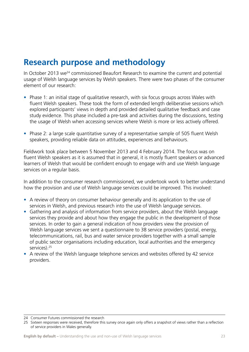### **Research purpose and methodology**

In October 2013 we<sup>24</sup> commissioned Beaufort Research to examine the current and potential usage of Welsh language services by Welsh speakers. There were two phases of the consumer element of our research:

- Phase 1: an initial stage of qualitative research, with six focus groups across Wales with fluent Welsh speakers. These took the form of extended length deliberative sessions which explored participants' views in depth and provided detailed qualitative feedback and case study evidence. This phase included a pre-task and activities during the discussions, testing the usage of Welsh when accessing services where Welsh is more or less actively offered.
- Phase 2: a large scale quantitative survey of a representative sample of 505 fluent Welsh speakers, providing reliable data on attitudes, experiences and behaviours.

Fieldwork took place between 5 November 2013 and 4 February 2014. The focus was on fluent Welsh speakers as it is assumed that in general, it is mostly fluent speakers or advanced learners of Welsh that would be confident enough to engage with and use Welsh language services on a regular basis.

In addition to the consumer research commissioned, we undertook work to better understand how the provision and use of Welsh language services could be improved. This involved:

- A review of theory on consumer behaviour generally and its application to the use of services in Welsh, and previous research into the use of Welsh language services.
- Gathering and analysis of information from service providers, about the Welsh language services they provide and about how they engage the public in the development of those services. In order to gain a general indication of how providers view the provision of Welsh language services we sent a questionnaire to 38 service providers (postal, energy, telecommunications, rail, bus and water service providers together with a small sample of public sector organisations including education, local authorities and the emergency services).25
- A review of the Welsh language telephone services and websites offered by 42 service providers.

24 Consumer Futures commissioned the research

<sup>25</sup> Sixteen responses were received, therefore this survey once again only offers a snapshot of views rather than a reflection of service providers in Wales generally.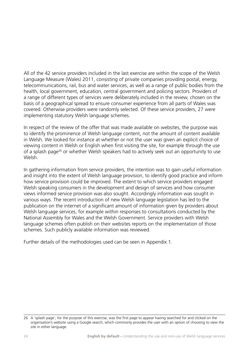All of the 42 service providers included in the last exercise are within the scope of the Welsh Language Measure (Wales) 2011, consisting of private companies providing postal, energy, telecommunications, rail, bus and water services, as well as a range of public bodies from the health, local government, education, central government and policing sectors. Providers of a range of different types of services were deliberately included in the review, chosen on the basis of a geographical spread to ensure consumer experience from all parts of Wales was covered. Otherwise providers were randomly selected. Of these service providers, 27 were implementing statutory Welsh language schemes.

In respect of the review of the offer that was made available on websites, the purpose was to identify the prominence of Welsh language content, not the amount of content available in Welsh. We looked for instance at whether or not the user was given an explicit choice of viewing content in Welsh or English when first visiting the site, for example through the use of a splash page<sup>26</sup> or whether Welsh speakers had to actively seek out an opportunity to use Welsh.

In gathering information from service providers, the intention was to gain useful information and insight into the extent of Welsh language provision, to identify good practice and inform how service provision could be improved. The extent to which service providers engaged Welsh speaking consumers in the development and design of services and how consumer views informed service provision was also sought. Accordingly information was sought in various ways. The recent introduction of new Welsh language legislation has led to the publication on the internet of a significant amount of information given by providers about Welsh language services, for example within responses to consultations conducted by the National Assembly for Wales and the Welsh Government. Service providers with Welsh language schemes often publish on their websites reports on the implementation of those schemes. Such publicly available information was reviewed.

Further details of the methodologies used can be seen in Appendix 1.

<sup>26</sup> A 'splash page', for the purpose of this exercise, was the first page to appear having searched for and clicked on the organisation's website using a Google search, which commonly provides the user with an option of choosing to view the site in either language.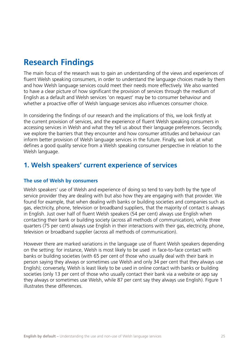### **Research Findings**

The main focus of the research was to gain an understanding of the views and experiences of fluent Welsh speaking consumers, in order to understand the language choices made by them and how Welsh language services could meet their needs more effectively. We also wanted to have a clear picture of how significant the provision of services through the medium of English as a default and Welsh services 'on request' may be to consumer behaviour and whether a proactive offer of Welsh language services also influences consumer choice.

In considering the findings of our research and the implications of this, we look firstly at the current provision of services, and the experience of fluent Welsh speaking consumers in accessing services in Welsh and what they tell us about their language preferences. Secondly, we explore the barriers that they encounter and how consumer attitudes and behaviour can inform better provision of Welsh language services in the future. Finally, we look at what defines a good quality service from a Welsh speaking consumer perspective in relation to the Welsh language.

### **1. Welsh speakers' current experience of services**

### **The use of Welsh by consumers**

Welsh speakers' use of Welsh and experience of doing so tend to vary both by the type of service provider they are dealing with but also how they are engaging with that provider. We found for example, that when dealing with banks or building societies and companies such as gas, electricity, phone, television or broadband suppliers, that the majority of contact is always in English. Just over half of fluent Welsh speakers (54 per cent) always use English when contacting their bank or building society (across all methods of communication), while three quarters (75 per cent) always use English in their interactions with their gas, electricity, phone, television or broadband supplier (across all methods of communication).

However there are marked variations in the language use of fluent Welsh speakers depending on the setting: for instance, Welsh is most likely to be used in face-to-face contact with banks or building societies (with 65 per cent of those who usually deal with their bank in person saying they always or sometimes use Welsh and only 34 per cent that they always use English); conversely, Welsh is least likely to be used in online contact with banks or building societies (only 13 per cent of those who usually contact their bank via a website or app say they always or sometimes use Welsh, while 87 per cent say they always use English). Figure 1 illustrates these differences.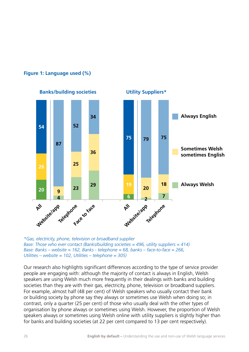

### **Figure 1: Language used (%)**

*\*Gas, electricity, phone, television or broadband supplier Base: Those who ever contact (Banks/building societies = 496, utility suppliers = 414) Base: Banks – website = 162, Banks - telephone = 68, banks – face-to-face = 266, Utilities – website = 102, Utilities – telephone = 305)*

Our research also highlights significant differences according to the type of service provider people are engaging with: although the majority of contact is always in English, Welsh speakers are using Welsh much more frequently in their dealings with banks and building societies than they are with their gas, electricity, phone, television or broadband suppliers. For example, almost half (48 per cent) of Welsh speakers who usually contact their bank or building society by phone say they always or sometimes use Welsh when doing so; in contrast, only a quarter (25 per cent) of those who usually deal with the other types of organisation by phone always or sometimes using Welsh. However, the proportion of Welsh speakers always or sometimes using Welsh online with utility suppliers is slightly higher than for banks and building societies (at 22 per cent compared to 13 per cent respectively).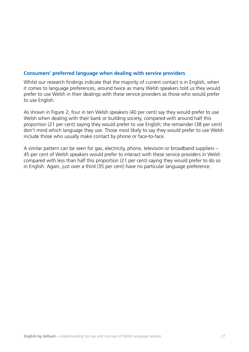### **Consumers' preferred language when dealing with service providers**

Whilst our research findings indicate that the majority of current contact is in English, when it comes to language preferences, around twice as many Welsh speakers told us they would prefer to use Welsh in their dealings with these service providers as those who would prefer to use English.

As shown in Figure 2, four in ten Welsh speakers (40 per cent) say they would prefer to use Welsh when dealing with their bank or building society, compared with around half this proportion (21 per cent) saying they would prefer to use English; the remainder (38 per cent) don't mind which language they use. Those most likely to say they would prefer to use Welsh include those who usually make contact by phone or face-to-face.

A similar pattern can be seen for gas, electricity, phone, television or broadband suppliers – 45 per cent of Welsh speakers would prefer to interact with these service providers in Welsh compared with less than half this proportion (21 per cent) saying they would prefer to do so in English. Again, just over a third (35 per cent) have no particular language preference.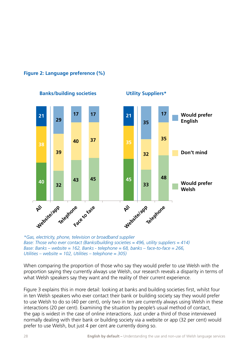



*\*Gas, electricity, phone, television or broadband supplier Base: Those who ever contact (Banks/building societies = 496, utility suppliers = 414) Base: Banks – website = 162, Banks - telephone = 68, banks – face-to-face = 266, Utilities – website = 102, Utilities – telephone = 305)*

When comparing the proportion of those who say they would prefer to use Welsh with the proportion saying they currently always use Welsh, our research reveals a disparity in terms of what Welsh speakers say they want and the reality of their current experience.

Figure 3 explains this in more detail: looking at banks and building societies first, whilst four in ten Welsh speakers who ever contact their bank or building society say they would prefer to use Welsh to do so (40 per cent), only two in ten are currently always using Welsh in these interactions (20 per cent). Examining the situation by people's usual method of contact, the gap is widest in the case of online interactions. Just under a third of those interviewed normally dealing with their bank or building society via a website or app (32 per cent) would prefer to use Welsh, but just 4 per cent are currently doing so.

## **Banks/building societies Utility Suppliers\***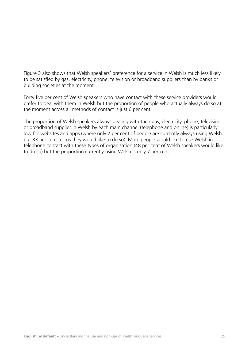Figure 3 also shows that Welsh speakers' preference for a service in Welsh is much less likely to be satisfied by gas, electricity, phone, television or broadband suppliers than by banks or building societies at the moment.

Forty five per cent of Welsh speakers who have contact with these service providers would prefer to deal with them in Welsh but the proportion of people who actually always do so at the moment across all methods of contact is just 6 per cent.

The proportion of Welsh speakers always dealing with their gas, electricity, phone, television or broadband supplier in Welsh by each main channel (telephone and online) is particularly low for websites and apps (where only 2 per cent of people are currently always using Welsh but 33 per cent tell us they would like to do so). More people would like to use Welsh in telephone contact with these types of organisation (48 per cent of Welsh speakers would like to do so) but the proportion currently using Welsh is only 7 per cent.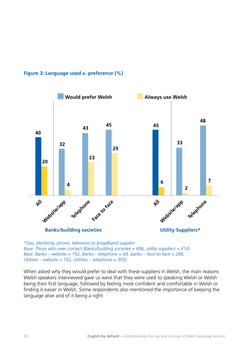



*\*Gas, electricity, phone, television or broadband supplier Base: Those who ever contact (Banks/building societies = 496, utility suppliers = 414) Base: Banks – website = 162, Banks - telephone = 68, banks – face-to-face = 266, Utilities – website = 102, Utilities – telephone = 305)*

When asked why they would prefer to deal with these suppliers in Welsh, the main reasons Welsh speakers interviewed gave us were that they were used to speaking Welsh or Welsh being their first language, followed by feeling more confident and comfortable in Welsh or finding it easier in Welsh. Some respondents also mentioned the importance of keeping the language alive and of it being a right: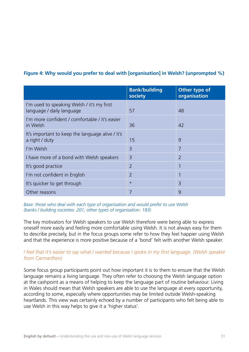### **Figure 4: Why would you prefer to deal with [organisation] in Welsh? (unprompted %)**

|                                                                         | <b>Bank/building</b><br>society | Other type of<br>organisation |
|-------------------------------------------------------------------------|---------------------------------|-------------------------------|
| I'm used to speaking Welsh / it's my first<br>language / daily language | 57                              | 48                            |
| I'm more confident / comfortable / it's easier<br>in Welsh              | 36                              | 42                            |
| It's important to keep the language alive / it's<br>a right / duty      | 15                              | 9                             |
| I'm Welsh                                                               | 3                               | 7                             |
| I have more of a bond with Welsh speakers                               | $\overline{3}$                  | $\overline{2}$                |
| It's good practice                                                      | $\overline{2}$                  |                               |
| I'm not confident in English                                            | $\overline{2}$                  |                               |
| It's quicker to get through                                             | $\star$                         | $\overline{3}$                |
| Other reasons                                                           | 7                               | 9                             |

*Base: those who deal with each type of organisation and would prefer to use Welsh (banks / building societies: 201; other types of organisation: 183)*

The key motivators for Welsh speakers to use Welsh therefore were being able to express oneself more easily and feeling more comfortable using Welsh. It is not always easy for them to describe precisely, but in the focus groups some refer to how they feel happier using Welsh and that the experience is more positive because of a 'bond' felt with another Welsh speaker.

### *I feel that it's easier to say what I wanted because I spoke in my first language. (Welsh speaker from Carmarthen)*

Some focus group participants point out how important it is to them to ensure that the Welsh language remains a living language. They often refer to choosing the Welsh language option at the cashpoint as a means of helping to keep the language part of routine behaviour. Living in Wales should mean that Welsh speakers are able to use the language at every opportunity, according to some, especially where opportunities may be limited outside Welsh-speaking heartlands. This view was certainly echoed by a number of participants who felt being able to use Welsh in this way helps to give it a 'higher status'.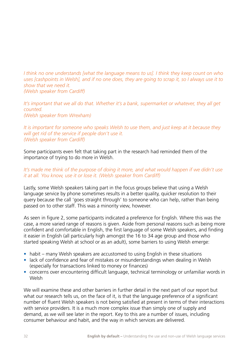*I think no one understands [what the language means to us]. I think they keep count on who uses [cashpoints in Welsh], and if no one does, they are going to scrap it, so I always use it to show that we need it.* 

*(Welsh speaker from Cardiff)*

*It's important that we all do that. Whether it's a bank, supermarket or whatever, they all get counted. (Welsh speaker from Wrexham)*

### *It is important for someone who speaks Welsh to use them, and just keep at it because they will get rid of the service if people don't use it. (Welsh speaker from Cardiff)*

Some participants even felt that taking part in the research had reminded them of the importance of trying to do more in Welsh.

### It's made me think of the purpose of doing it more, and what would happen if we didn't use *it at all. You know, use it or lose it. (Welsh speaker from Cardiff)*

Lastly, some Welsh speakers taking part in the focus groups believe that using a Welsh language service by phone sometimes results in a better quality, quicker resolution to their query because the call 'goes straight through' to someone who can help, rather than being passed on to other staff. This was a minority view, however.

As seen in figure 2, some participants indicated a preference for English. Where this was the case, a more varied range of reasons is given. Aside from personal reasons such as being more confident and comfortable in English, the first language of some Welsh speakers, and finding it easier in English (all particularly high amongst the 16 to 34 age group and those who started speaking Welsh at school or as an adult), some barriers to using Welsh emerge:

- habit many Welsh speakers are accustomed to using English in these situations
- lack of confidence and fear of mistakes or misunderstandings when dealing in Welsh (especially for transactions linked to money or finances)
- concerns over encountering difficult language, technical terminology or unfamiliar words in Welsh

We will examine these and other barriers in further detail in the next part of our report but what our research tells us, on the face of it, is that the language preference of a significant number of fluent Welsh speakers is not being satisfied at present in terms of their interactions with service providers. It is a much more complex issue than simply one of supply and demand, as we will see later in the report. Key to this are a number of issues, including consumer behaviour and habit, and the way in which services are delivered.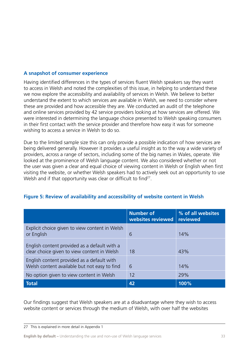### **A snapshot of consumer experience**

Having identified differences in the types of services fluent Welsh speakers say they want to access in Welsh and noted the complexities of this issue, in helping to understand these we now explore the accessibility and availability of services in Welsh. We believe to better understand the extent to which services are available in Welsh, we need to consider where these are provided and how accessible they are. We conducted an audit of the telephone and online services provided by 42 service providers looking at how services are offered. We were interested in determining the language choice presented to Welsh speaking consumers in their first contact with the service provider and therefore how easy it was for someone wishing to access a service in Welsh to do so.

Due to the limited sample size this can only provide a possible indication of how services are being delivered generally. However it provides a useful insight as to the way a wide variety of providers, across a range of sectors, including some of the big names in Wales, operate. We looked at the prominence of Welsh language content. We also considered whether or not the user was given a clear and equal choice of viewing content in Welsh or English when first visiting the website, or whether Welsh speakers had to actively seek out an opportunity to use Welsh and if that opportunity was clear or difficult to find<sup>27</sup>.

|                                                                                             | <b>Number of</b><br>websites reviewed | % of all websites<br>reviewed |
|---------------------------------------------------------------------------------------------|---------------------------------------|-------------------------------|
| Explicit choice given to view content in Welsh<br>or English                                | 6                                     | 14%                           |
| English content provided as a default with a<br>clear choice given to view content in Welsh | 18                                    | 43%                           |
| English content provided as a default with<br>Welsh content available but not easy to find  | 6                                     | 14%                           |
| No option given to view content in Welsh                                                    | 12                                    | 29%                           |
| <b>Total</b>                                                                                | 42                                    | 100%                          |

### **Figure 5: Review of availability and accessibility of website content in Welsh**

Our findings suggest that Welsh speakers are at a disadvantage where they wish to access website content or services through the medium of Welsh, with over half the websites

<sup>27</sup> This is explained in more detail in Appendix 1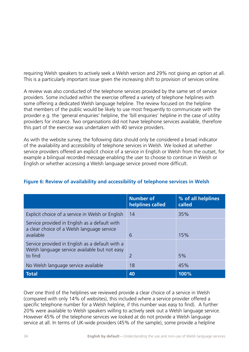requiring Welsh speakers to actively seek a Welsh version and 29% not giving an option at all. This is a particularly important issue given the increasing shift to provision of services online.

A review was also conducted of the telephone services provided by the same set of service providers. Some included within the exercise offered a variety of telephone helplines with some offering a dedicated Welsh language helpline. The review focused on the helpline that members of the public would be likely to use most frequently to communicate with the provider e.g. the 'general enquiries' helpline, the 'bill enquiries' helpline in the case of utility providers for instance. Two organisations did not have telephone services available, therefore this part of the exercise was undertaken with 40 service providers.

As with the website survey, the following data should only be considered a broad indicator of the availability and accessibility of telephone services in Welsh. We looked at whether service providers offered an explicit choice of a service in English or Welsh from the outset, for example a bilingual recorded message enabling the user to choose to continue in Welsh or English or whether accessing a Welsh language service proved more difficult.

|                                                                                                             | <b>Number of</b><br>helplines called | % of all helplines<br>called |
|-------------------------------------------------------------------------------------------------------------|--------------------------------------|------------------------------|
| Explicit choice of a service in Welsh or English                                                            | 14                                   | 35%                          |
| Service provided in English as a default with<br>a clear choice of a Welsh language service<br>available    | 6                                    | 15%                          |
| Service provided in English as a default with a<br>Welsh language service available but not easy<br>to find | $\mathcal{L}$                        | 5%                           |
| No Welsh language service available                                                                         | 18                                   | 45%                          |
| <b>Total</b>                                                                                                | 40                                   | 100%                         |

### **Figure 6: Review of availability and accessibility of telephone services in Welsh**

Over one third of the helplines we reviewed provide a clear choice of a service in Welsh (compared with only 14% of websites), this included where a service provider offered a specific telephone number for a Welsh helpline, if this number was easy to find). A further 20% were available to Welsh speakers willing to actively seek out a Welsh language service. However 45% of the telephone services we looked at do not provide a Welsh language service at all. In terms of UK-wide providers (45% of the sample), some provide a helpline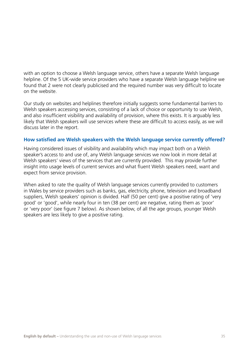with an option to choose a Welsh language service, others have a separate Welsh language helpline. Of the 5 UK-wide service providers who have a separate Welsh language helpline we found that 2 were not clearly publicised and the required number was very difficult to locate on the website.

Our study on websites and helplines therefore initially suggests some fundamental barriers to Welsh speakers accessing services, consisting of a lack of choice or opportunity to use Welsh, and also insufficient visibility and availability of provision, where this exists. It is arguably less likely that Welsh speakers will use services where these are difficult to access easily, as we will discuss later in the report.

### **How satisfied are Welsh speakers with the Welsh language service currently offered?**

Having considered issues of visibility and availability which may impact both on a Welsh speaker's access to and use of, any Welsh language services we now look in more detail at Welsh speakers' views of the services that are currently provided. This may provide further insight into usage levels of current services and what fluent Welsh speakers need, want and expect from service provision.

When asked to rate the quality of Welsh language services currently provided to customers in Wales by service providers such as banks, gas, electricity, phone, television and broadband suppliers, Welsh speakers' opinion is divided. Half (50 per cent) give a positive rating of 'very good' or 'good', while nearly four in ten (38 per cent) are negative, rating them as 'poor' or 'very poor' (see figure 7 below). As shown below, of all the age groups, younger Welsh speakers are less likely to give a positive rating.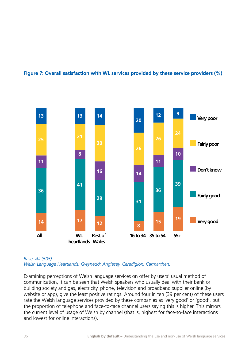



#### *Base: All (505) Welsh Language Heartlands: Gwynedd; Anglesey, Ceredigion, Carmarthen.*

Examining perceptions of Welsh language services on offer by users' usual method of communication, it can be seen that Welsh speakers who usually deal with their bank or building society and gas, electricity, phone, television and broadband supplier online (by website or app), give the least positive ratings. Around four in ten (39 per cent) of these users rate the Welsh language services provided by these companies as 'very good' or 'good', but the proportion of telephone and face-to-face channel users saying this is higher. This mirrors the current level of usage of Welsh by channel (that is, highest for face-to-face interactions and lowest for online interactions).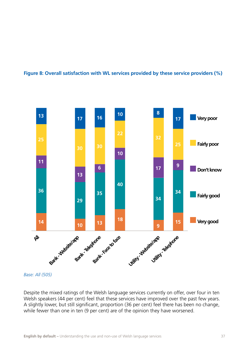#### **Figure 8: Overall satisfaction with WL services provided by these service providers (%)**



*Base: All (505)*

Despite the mixed ratings of the Welsh language services currently on offer, over four in ten Welsh speakers (44 per cent) feel that these services have improved over the past few years. A slightly lower, but still significant, proportion (36 per cent) feel there has been no change, while fewer than one in ten (9 per cent) are of the opinion they have worsened.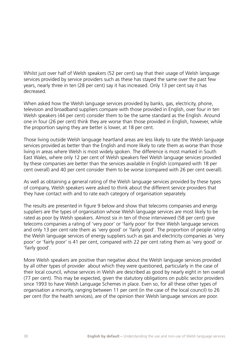Whilst just over half of Welsh speakers (52 per cent) say that their usage of Welsh language services provided by service providers such as these has stayed the same over the past few years, nearly three in ten (28 per cent) say it has increased. Only 13 per cent say it has decreased.

When asked how the Welsh language services provided by banks, gas, electricity, phone, television and broadband suppliers compare with those provided in English, over four in ten Welsh speakers (44 per cent) consider them to be the same standard as the English. Around one in four (26 per cent) think they are worse than those provided in English, however, while the proportion saying they are better is lower, at 18 per cent.

Those living outside Welsh language heartland areas are less likely to rate the Welsh language services provided as better than the English and more likely to rate them as worse than those living in areas where Welsh is most widely spoken. The difference is most marked in South East Wales, where only 12 per cent of Welsh speakers feel Welsh language services provided by these companies are better than the services available in English (compared with 18 per cent overall) and 40 per cent consider them to be worse (compared with 26 per cent overall).

As well as obtaining a general rating of the Welsh language services provided by these types of company, Welsh speakers were asked to think about the different service providers that they have contact with and to rate each category of organisation separately.

The results are presented in figure 9 below and show that telecoms companies and energy suppliers are the types of organisation whose Welsh language services are most likely to be rated as poor by Welsh speakers. Almost six in ten of those interviewed (58 per cent) give telecoms companies a rating of 'very poor' or 'fairly poor' for their Welsh language services and only 13 per cent rate them as 'very good' or 'fairly good'. The proportion of people rating the Welsh language services of energy suppliers such as gas and electricity companies as 'very poor' or 'fairly poor' is 41 per cent, compared with 22 per cent rating them as 'very good' or 'fairly good'.

More Welsh speakers are positive than negative about the Welsh language services provided by all other types of provider about which they were questioned, particularly in the case of their local council, whose services in Welsh are described as good by nearly eight in ten overall (77 per cent). This may be expected, given the statutory obligations on public sector providers since 1993 to have Welsh Language Schemes in place. Even so, for all these other types of organisation a minority, ranging between 11 per cent (in the case of the local council) to 26 per cent (for the health services), are of the opinion their Welsh language services are poor.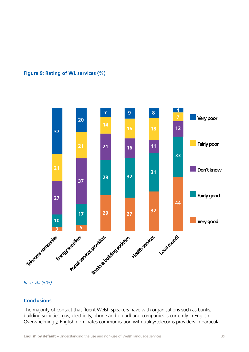## **Figure 9: Rating of WL services (%)**



*Base: All (505)*

#### **Conclusions**

The majority of contact that fluent Welsh speakers have with organisations such as banks, building societies, gas, electricity, phone and broadband companies is currently in English. Overwhelmingly, English dominates communication with utility/telecoms providers in particular.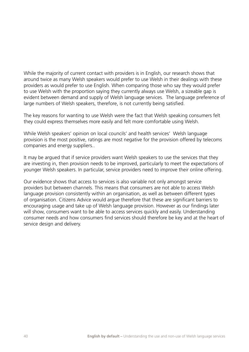While the majority of current contact with providers is in English, our research shows that around twice as many Welsh speakers would prefer to use Welsh in their dealings with these providers as would prefer to use English. When comparing those who say they would prefer to use Welsh with the proportion saying they currently always use Welsh, a sizeable gap is evident between demand and supply of Welsh language services. The language preference of large numbers of Welsh speakers, therefore, is not currently being satisfied.

The key reasons for wanting to use Welsh were the fact that Welsh speaking consumers felt they could express themselves more easily and felt more comfortable using Welsh.

While Welsh speakers' opinion on local councils' and health services' Welsh language provision is the most positive, ratings are most negative for the provision offered by telecoms companies and energy suppliers..

It may be argued that if service providers want Welsh speakers to use the services that they are investing in, then provision needs to be improved, particularly to meet the expectations of younger Welsh speakers. In particular, service providers need to improve their online offering.

Our evidence shows that access to services is also variable not only amongst service providers but between channels. This means that consumers are not able to access Welsh language provision consistently within an organisation, as well as between different types of organisation. Citizens Advice would argue therefore that these are significant barriers to encouraging usage and take up of Welsh language provision. However as our findings later will show, consumers want to be able to access services quickly and easily. Understanding consumer needs and how consumers find services should therefore be key and at the heart of service design and delivery.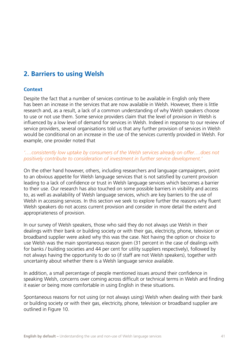# **2. Barriers to using Welsh**

#### **Context**

Despite the fact that a number of services continue to be available in English only there has been an increase in the services that are now available in Welsh. However, there is little research and, as a result, a lack of a common understanding of why Welsh speakers choose to use or not use them. Some service providers claim that the level of provision in Welsh is influenced by a low level of demand for services in Welsh. Indeed in response to our review of service providers, several organisations told us that any further provision of services in Welsh would be conditional on an increase in the use of the services currently provided in Welsh. For example, one provider noted that

#### *'….consistently low uptake by consumers of the Welsh services already on offer….does not positively contribute to consideration of investment in further service development.'*

On the other hand however, others, including researchers and language campaigners, point to an obvious appetite for Welsh language services that is not satisfied by current provision leading to a lack of confidence or trust in Welsh language services which becomes a barrier to their use. Our research has also touched on some possible barriers in visibility and access to, as well as availability of Welsh language services, which are key barriers to the use of Welsh in accessing services. In this section we seek to explore further the reasons why fluent Welsh speakers do not access current provision and consider in more detail the extent and appropriateness of provision.

In our survey of Welsh speakers, those who said they do not always use Welsh in their dealings with their bank or building society or with their gas, electricity, phone, television or broadband supplier were asked why this was the case. Not having the option or choice to use Welsh was the main spontaneous reason given (31 percent in the case of dealings with for banks / building societies and 44 per cent for utility suppliers respectively), followed by not always having the opportunity to do so (if staff are not Welsh speakers), together with uncertainty about whether there is a Welsh language service available.

In addition, a small percentage of people mentioned issues around their confidence in speaking Welsh, concerns over coming across difficult or technical terms in Welsh and finding it easier or being more comfortable in using English in these situations.

Spontaneous reasons for not using (or not always using) Welsh when dealing with their bank or building society or with their gas, electricity, phone, television or broadband supplier are outlined in Figure 10.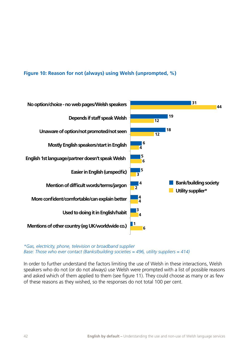# **Figure 10: Reason for not (always) using Welsh (unprompted, %)**



*\*Gas, electricity, phone, television or broadband supplier Base: Those who ever contact (Banks/building societies = 496, utility suppliers = 414)*

In order to further understand the factors limiting the use of Welsh in these interactions, Welsh speakers who do not (or do not always) use Welsh were prompted with a list of possible reasons and asked which of them applied to them (see figure 11). They could choose as many or as few of these reasons as they wished, so the responses do not total 100 per cent.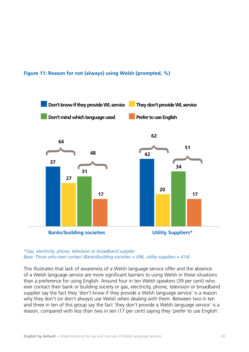**Figure 11: Reason for not (always) using Welsh (prompted, %)**



*\*Gas, electricity, phone, television or broadband supplier Base: Those who ever contact (Banks/building societies = 496, utility suppliers = 414)*

This illustrates that lack of awareness of a Welsh language service offer and the absence of a Welsh language service are more significant barriers to using Welsh in these situations than a preference for using English. Around four in ten Welsh speakers (39 per cent) who ever contact their bank or building society or gas, electricity, phone, television or broadband supplier say the fact they 'don't know if they provide a Welsh language service' is a reason why they don't (or don't always) use Welsh when dealing with them. Between two in ten and three in ten of this group say the fact 'they don't provide a Welsh language service' is a reason, compared with less than two in ten (17 per cent) saying they 'prefer to use English'.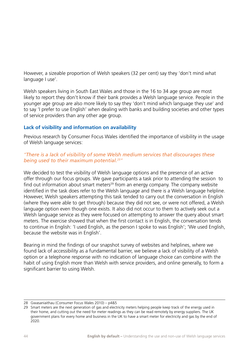However, a sizeable proportion of Welsh speakers (32 per cent) say they 'don't mind what language I use'.

Welsh speakers living in South East Wales and those in the 16 to 34 age group are most likely to report they don't know if their bank provides a Welsh language service. People in the younger age group are also more likely to say they 'don't mind which language they use' and to say 'I prefer to use English' when dealing with banks and building societies and other types of service providers than any other age group.

# **Lack of visibility and information on availability**

Previous research by Consumer Focus Wales identified the importance of visibility in the usage of Welsh language services:

# *"There is a lack of visibility of some Welsh medium services that discourages these being used to their maximum potential.28"*

We decided to test the visibility of Welsh language options and the presence of an active offer through our focus groups. We gave participants a task prior to attending the session to find out information about smart meters<sup>29</sup> from an energy company. The company website identified in the task does refer to the Welsh language and there is a Welsh language helpline. However, Welsh speakers attempting this task tended to carry out the conversation in English (where they were able to get through) because they did not see, or were not offered, a Welsh language option even though one exists. It also did not occur to them to actively seek out a Welsh language service as they were focused on attempting to answer the query about smart meters. The exercise showed that when the first contact is in English, the conversation tends to continue in English: 'I used English, as the person I spoke to was English'; 'We used English, because the website was in English'.

Bearing in mind the findings of our snapshot survey of websites and helplines, where we found lack of accessibility as a fundamental barrier, we believe a lack of visibility of a Welsh option or a telephone response with no indication of language choice can combine with the habit of using English more than Welsh with service providers, and online generally, to form a significant barrier to using Welsh.

<sup>28</sup> Gwasaniaithau (Consumer Focus Wales 2010) – p4&5

<sup>29</sup> Smart meters are the next generation of gas and electricity meters helping people keep track of the energy used in their home, and cutting out the need for meter readings as they can be read remotely by energy suppliers. The UK government plans for every home and business in the UK to have a smart meter for electricity and gas by the end of 2020.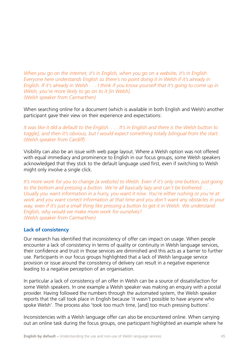*When you go on the internet, it's in English, when you go on a website, it's in English. Everyone here understands English so there's no point doing it in Welsh if it's already in English. If it's already in Welsh . . . I think if you know yourself that it's going to come up in Welsh, you're more likely to go on to it [in Welsh]. (Welsh speaker from Carmarthen)*

When searching online for a document (which is available in both English and Welsh) another participant gave their view on their experience and expectations:

*It was like it did a default to the English. . . . It's in English and there is the Welsh button to toggle], and then it's obvious, but I would expect something totally bilingual from the start. (Welsh speaker from Cardiff)*

Visibility can also be an issue with web page layout. Where a Welsh option was not offered with equal immediacy and prominence to English in our focus groups, some Welsh speakers acknowledged that they stick to the default language used first, even if switching to Welsh might only involve a single click.

*It's more work for you to change [a website] to Welsh. Even if it's only one button, just going to the bottom and pressing a button. We're all basically lazy and can't be bothered. . . . Usually you want information in a hurry, you want it now. You're either rushing or you're at work and you want correct information at that time and you don't want any obstacles in your way, even if it's just a small thing like pressing a button to get it in Welsh. We understand English, why would we make more work for ourselves? (Welsh speaker from Carmarthen)*

# **Lack of consistency**

Our research has identified that inconsistency of offer can impact on usage. When people encounter a lack of consistency in terms of quality or continuity in Welsh language services, their confidence and trust in those services are diminished and this acts as a barrier to further use. Participants in our focus groups highlighted that a lack of Welsh language service provision or issue around the consistency of delivery can result in a negative experience leading to a negative perception of an organisation.

In particular a lack of consistency of an offer in Welsh can be a source of dissatisfaction for some Welsh speakers. In one example a Welsh speaker was making an enquiry with a postal provider. Having followed the numbers through the automated system, the Welsh speaker reports that the call took place in English because 'it wasn't possible to have anyone who spoke Welsh'. The process also 'took too much time, [and] too much pressing buttons'.

Inconsistencies with a Welsh language offer can also be encountered online. When carrying out an online task during the focus groups, one participant highlighted an example where he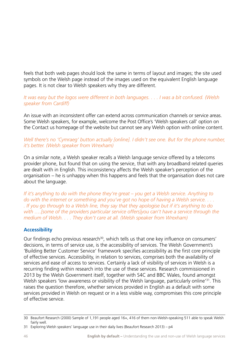feels that both web pages should look the same in terms of layout and images; the site used symbols on the Welsh page instead of the images used on the equivalent English language pages. It is not clear to Welsh speakers why they are different.

#### *It was easy but the logos were different in both languages. . . . I was a bit confused. (Welsh speaker from Cardiff)*

An issue with an inconsistent offer can extend across communication channels or service areas. Some Welsh speakers, for example, welcome the Post Office's 'Welsh speakers call' option on the Contact us homepage of the website but cannot see any Welsh option with online content.

## *Well there's no 'Cymraeg' button actually [online]. I didn't see one. But for the phone number, it's better. (Welsh speaker from Wrexham)*

On a similar note, a Welsh speaker recalls a Welsh language service offered by a telecoms provider phone, but found that on using the service, that with any broadband related queries are dealt with in English. This inconsistency affects the Welsh speaker's perception of the organisation – he is unhappy when this happens and feels that the organisation does not care about the language.

*If it's anything to do with the phone they're great – you get a Welsh service. Anything to do with the internet or something and you've got no hope of having a Welsh service. . . . . If you go through to a Welsh line, they say that they apologise but if it's anything to do with ….[some of the providers particular service offers]you can't have a service through the medium of Welsh. . . . They don't care at all. (Welsh speaker from Wrexham)*

# **Accessibility**

Our findings echo previous research<sup>30</sup>, which tells us that one key influence on consumers' decisions, in terms of service use, is the accessibility of services. The Welsh Government's 'Building Better Customer Service' framework specifies accessibility as the first core principle of effective services. Accessibility, in relation to services, comprises both the availability of services and ease of access to services. Certainly a lack of visibility of services in Welsh is a recurring finding within research into the use of these services. Research commissioned in 2013 by the Welsh Government itself, together with S4C and BBC Wales, found amongst Welsh speakers 'low awareness or visibility of the Welsh language, particularly online<sup>'31</sup>. This raises the question therefore, whether services provided in English as a default with some services provided in Welsh on request or in a less visible way, compromises this core principle of effective service.

<sup>30</sup> Beaufort Research (2000) Sample of 1,191 people aged 16+, 416 of them non-Welsh-speaking 511 able to speak Welsh fairly well.

<sup>31</sup> Exploring Welsh speakers' language use in their daily lives (Beaufort Research 2013) – p4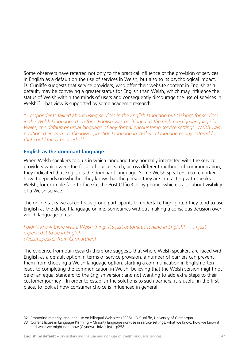Some observers have referred not only to the practical influence of the provision of services in English as a default on the use of services in Welsh, but also to its psychological impact. D. Cunliffe suggests that service providers, who offer their website content in English as a default, may be conveying a greater status for English than Welsh, which may influence the status of Welsh within the minds of users and consequently discourage the use of services in Welsh<sup>32</sup>. That view is supported by some academic research.

*"...respondents talked about using services in the English language but 'asking' for services in the Welsh language. Therefore, English was positioned as the high prestige language in Wales, the default or usual language of any formal encounter in service settings. Welsh was positioned, in turn, as the lower prestige language in Wales, a language poorly catered for that could rarely be used...33"*

# **English as the dominant language**

When Welsh speakers told us in which language they normally interacted with the service providers which were the focus of our research, across different methods of communication, they indicated that English is the dominant language. Some Welsh speakers also remarked how it depends on whether they know that the person they are interacting with speaks Welsh, for example face-to-face (at the Post Office) or by phone, which is also about visibility of a Welsh service.

The online tasks we asked focus group participants to undertake highlighted they tend to use English as the default language online, sometimes without making a conscious decision over which language to use.

#### *I didn't know there was a Welsh thing. It's just automatic [online in English]. . . . I just expected it to be in English. (Welsh speaker from Carmarthen)*

The evidence from our research therefore suggests that where Welsh speakers are faced with English as a default option in terms of service provision, a number of barriers can prevent them from choosing a Welsh language option: starting a communication in English often leads to completing the communication in Welsh; believing that the Welsh version might not be of an equal standard to the English version; and not wanting to add extra steps to their customer journey. In order to establish the solutions to such barriers, it is useful in the first place, to look at how consumer choice is influenced in general.

<sup>32</sup> Promoting minority language use on bilingual Web sites (2008) – D Cunliffe, University of Glamorgan

<sup>33</sup> Current Issues in Language Planning – Minority language non-use in service settings: what we know, how we know it and what we might not know (Glyndwr University) – p258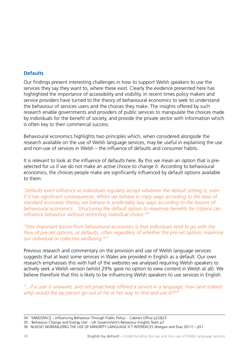# **Defaults**

Our findings present interesting challenges in how to support Welsh speakers to use the services they say they want to, where these exist. Clearly the evidence presented here has highlighted the importance of accessibility and visibility. In recent times policy makers and service providers have turned to the theory of behavioural economics to seek to understand the behaviour of services users and the choices they make. The insights offered by such research enable governments and providers of public services to manipulate the choices made by individuals for the benefit of society, and provide the private sector with information which is often key to their commercial success.

Behavioural economics highlights two principles which, when considered alongside the research available on the use of Welsh language services, may be useful in explaining the use and non-use of services in Welsh – the influence of defaults and consumer habits.

It is relevant to look at the influence of defaults here. By this we mean an option that is preselected for us if we do not make an active choice to change it. According to behavioural economics, the choices people make are significantly influenced by default options available to them:

*'Defaults exert influence as individuals regularly accept whatever the default setting is, even if it has significant consequences. Whilst we behave in crazy ways according to the laws of standard economic theory, we behave in predictably lazy ways according to the lessons of behavioural economics... Structuring the default option to maximise benefits for citizens can influence behaviour without restricting individual choice.34'* 

*"One important lesson from behavioural economics is that individuals tend to go with the flow of pre-set options, or defaults, often regardless of whether the pre-set options maximise our individual or collective wellbeing.35"* 

Previous research and commentary on the provision and use of Welsh language services suggests that at least some services in Wales are provided in English as a default. Our own research emphasises this with half of the websites we analysed requiring Welsh speakers to actively seek a Welsh version (whilst 29% gave no option to view content in Welsh at all). We believe therefore that this is likely to be influencing Welsh speakers to use services in English.

*"...if a user is unaware, and not proactively offered a service in a language, how (and indeed why) would the lay person go out of his or her way to find and use it?36"*

<sup>34 &#</sup>x27;MINDSPACE – Influencing Behaviour Through Public Policy' - Cabinet Office p22&23

<sup>35 &#</sup>x27;Behaviour Change and Energy Use' - UK Government's Behaviour Insights Team p7

<sup>36</sup> NUDGE! NORMALIZING THE USE OF MINORITY LANGUAGE ICT INTERFACES (Keegan and Evas 2011) – p51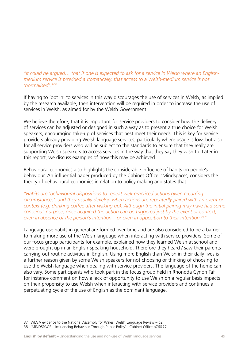# *"It could be argued… that if one is expected to ask for a service in Welsh where an Englishmedium service is provided automatically, that access to a Welsh-medium service is not 'normalised'.37"*

If having to 'opt in' to services in this way discourages the use of services in Welsh, as implied by the research available, then intervention will be required in order to increase the use of services in Welsh, as aimed for by the Welsh Government.

We believe therefore, that it is important for service providers to consider how the delivery of services can be adjusted or designed in such a way as to present a true choice for Welsh speakers, encouraging take-up of services that best meet their needs. This is key for service providers already providing Welsh language services, particularly where usage is low, but also for all service providers who will be subject to the standards to ensure that they really are supporting Welsh speakers to access services in the way that they say they wish to. Later in this report, we discuss examples of how this may be achieved.

Behavioural economics also highlights the considerable influence of habits on people's behaviour. An influential paper produced by the Cabinet Office, 'Mindspace', considers the theory of behavioural economics in relation to policy making and states that

*"Habits are 'behavioural dispositions to repeat well-practiced actions given recurring circumstances', and they usually develop when actions are repeatedly paired with an event or context (e.g. drinking coffee after waking up). Although the initial pairing may have had some conscious purpose, once acquired the action can be triggered just by the event or context, even in absence of the person's intention – or even in opposition to their intention.38"*

Language use habits in general are formed over time and are also considered to be a barrier to making more use of the Welsh language when interacting with service providers. Some of our focus group participants for example, explained how they learned Welsh at school and were brought up in an English-speaking household. Therefore they heard / saw their parents carrying out routine activities in English. Using more English than Welsh in their daily lives is a further reason given by some Welsh speakers for not choosing or thinking of choosing to use the Welsh language when dealing with service providers. The language of the home can also vary. Some participants who took part in the focus group held in Rhondda Cynon Taf for instance comment on how a lack of opportunity to use Welsh on a regular basis impacts on their propensity to use Welsh when interacting with service providers and continues a perpetuating cycle of the use of English as the dominant language.

<sup>37</sup> WLGA evidence to the National Assembly for Wales' Welsh Language Review – p2

<sup>38 &#</sup>x27;MINDSPACE – Influencing Behaviour Through Public Policy' - Cabinet Office p76&77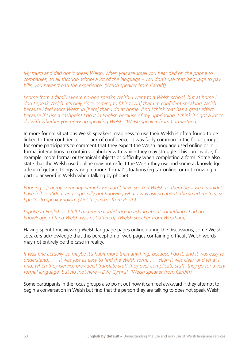*My mum and dad don't speak Welsh, when you are small you hear dad on the phone to companies, so all through school a lot of the language – you don't use that language to pay bills, you haven't had the experience. (Welsh speaker from Cardiff)*

*I come from a family where no-one speaks Welsh. I went to a Welsh school, but at home I don't speak Welsh. It's only since coming to [this town] that I'm confident speaking Welsh because I feel more Welsh in [here] than I do at home. And I think that has a great effect because if I use a cashpoint I do it in English because of my upbringing. I think it's got a lot to do with whether you grew up speaking Welsh. (Welsh speaker from Carmarthen)*

In more formal situations Welsh speakers' readiness to use their Welsh is often found to be linked to their confidence – or lack of confidence. It was fairly common in the focus groups for some participants to comment that they expect the Welsh language used online or in formal interactions to contain vocabulary with which they may struggle. This can involve, for example, more formal or technical subjects or difficulty when completing a form. Some also state that the Welsh used online may not reflect the Welsh they use and some acknowledge a fear of getting things wrong in more 'formal' situations (eg tax online, or not knowing a particular word in Welsh when talking by phone).

*Phoning…[energy company name] I wouldn't have spoken Welsh to them because I wouldn't have felt confident and especially not knowing what I was asking about, the smart meters, so I prefer to speak English. (Welsh speaker from Porth)*

*I spoke in English as I felt I had more confidence in asking about something I had no knowledge of [and Welsh was not offered]. (Welsh speaker from Wrexham)*

Having spent time viewing Welsh language pages online during the discussions, some Welsh speakers acknowledge that this perception of web pages containing difficult Welsh words may not entirely be the case in reality.

*It was fine actually, so maybe it's habit more than anything, because I do it, and it was easy to understand. . . . It was just as easy to find the Welsh form. . . . Yeah it was clear, and what I find, when they [service providers] translate stuff they over-complicate stuff, they go for a very formal language, but no [not here – Dŵr Cymru]. (Welsh speaker from Cardiff)* 

Some participants in the focus groups also point out how it can feel awkward if they attempt to begin a conversation in Welsh but find that the person they are talking to does not speak Welsh.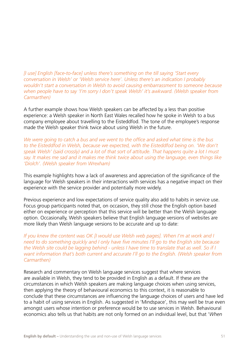*[I use] English [face-to-face] unless there's something on the till saying 'Start every conversation in Welsh' or 'Welsh service here'. Unless there's an indication I probably wouldn't start a conversation in Welsh to avoid causing embarrassment to someone because when people have to say 'I'm sorry I don't speak Welsh' it's awkward. (Welsh speaker from Carmarthen)*

A further example shows how Welsh speakers can be affected by a less than positive experience: a Welsh speaker in North East Wales recalled how he spoke in Welsh to a bus company employee about travelling to the Eisteddfod. The tone of the employee's response made the Welsh speaker think twice about using Welsh in the future.

*We were going to catch a bus and we went to the office and asked what time is the bus to the Eisteddfod in Welsh, because we expected, with the Eisteddfod being on. 'We don't speak Welsh' (said crossly) and a lot of that sort of attitude. That happens quite a lot I must say. It makes me sad and it makes me think twice about using the language, even things like 'Diolch'. (Welsh speaker from Wrexham)*

This example highlights how a lack of awareness and appreciation of the significance of the language for Welsh speakers in their interactions with services has a negative impact on their experience with the service provider and potentially more widely.

Previous experience and low expectations of service quality also add to habits in service use. Focus group participants noted that, on occasion, they still chose the English option based either on experience or perception that this service will be better than the Welsh language option. Occasionally, Welsh speakers believe that English language versions of websites are more likely than Welsh language versions to be accurate and up to date:

*If you knew the content was OK [I would use Welsh web pages]. When I'm at work and I need to do something quickly and I only have five minutes I'll go to the English site because the Welsh site could be lagging behind - unless I have time to translate that as well. So if I want information that's both current and accurate I'll go to the English. (Welsh speaker from Carmarthen)*

Research and commentary on Welsh language services suggest that where services are available in Welsh, they tend to be provided in English as a default. If these are the circumstances in which Welsh speakers are making language choices when using services, then applying the theory of behavioural economics to this context, it is reasonable to conclude that these circumstances are influencing the language choices of users and have led to a habit of using services in English. As suggested in 'Mindspace', this may well be true even amongst users whose intention or preference would be to use services in Welsh. Behavioural economics also tells us that habits are not only formed on an individual level, but that '*When*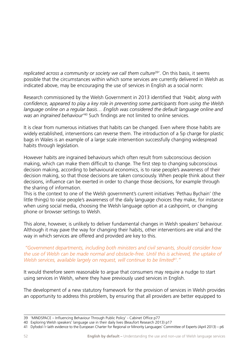*replicated across a community or society we call them culture*<sup>39'</sup>. On this basis, it seems possible that the circumstances within which some services are currently delivered in Welsh as indicated above, may be encouraging the use of services in English as a social norm:

Research commissioned by the Welsh Government in 2013 identified that *'Habit, along with confidence, appeared to play a key role in preventing some participants from using the Welsh language online on a regular basis… English was considered the default language online and was an ingrained behaviour'*40 Such findings are not limited to online services.

It is clear from numerous initiatives that habits can be changed. Even where those habits are widely established, interventions can reverse them. The introduction of a 5p charge for plastic bags in Wales is an example of a large scale intervention successfully changing widespread habits through legislation.

However habits are ingrained behaviours which often result from subconscious decision making, which can make them difficult to change. The first step to changing subconscious decision making, according to behavioural economics, is to raise people's awareness of their decision making, so that those decisions are taken consciously. When people think about their decisions, influence can be exerted in order to change those decisions, for example through the sharing of information.

This is the context to one of the Welsh government's current initiatives 'Pethau Bychain' (the little things) to raise people's awareness of the daily language choices they make, for instance when using social media, choosing the Welsh language option at a cashpoint, or changing phone or browser settings to Welsh.

This alone, however, is unlikely to deliver fundamental changes in Welsh speakers' behaviour. Although it may pave the way for changing their habits, other interventions are vital and the way in which services are offered and provided are key to this.

### *"Government departments, including both ministers and civil servants, should consider how the use of Welsh can be made normal and obstacle-free. Until this is achieved, the uptake of Welsh services, available largely on request, will continue to be limited41."*

It would therefore seem reasonable to argue that consumers may require a nudge to start using services in Welsh, where they have previously used services in English.

The development of a new statutory framework for the provision of services in Welsh provides an opportunity to address this problem, by ensuring that all providers are better equipped to

<sup>39 &#</sup>x27;MINDSPACE – Influencing Behaviour Through Public Policy' - Cabinet Office p77

<sup>40</sup> Exploring Welsh speakers' language use in their daily lives (Beaufort Research 2013) p17

<sup>41</sup> Dyfodol i'r Iaith evidence to the European Charter for Regional or Minority Languages' Committee of Experts (April 2013) – p6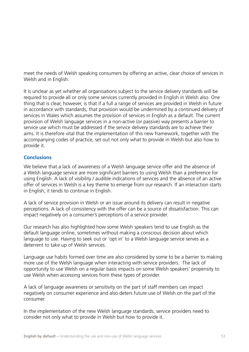meet the needs of Welsh speaking consumers by offering an active, clear choice of services in Welsh and in English.

It is unclear as yet whether all organisations subject to the service delivery standards will be required to provide all or only some services currently provided in English in Welsh also. One thing that is clear, however, is that if a full a range of services are provided in Welsh in future in accordance with standards, that provision would be undermined by a continued delivery of services in Wales which assumes the provision of services in English as a default. The current provision of Welsh language services in a non-active (or passive) way presents a barrier to service use which must be addressed if the service delivery standards are to achieve their aims. It is therefore vital that the implementation of this new framework, together with the accompanying codes of practice, set out not only what to provide in Welsh but also how to provide it.

# **Conclusions**

We believe that a lack of awareness of a Welsh language service offer and the absence of a Welsh language service are more significant barriers to using Welsh than a preference for using English. A lack of visibility / audible indications of services and the absence of an active offer of services in Welsh is a key theme to emerge from our research. If an interaction starts in English, it tends to continue in English.

A lack of service provision in Welsh or an issue around its delivery can result in negative perceptions. A lack of consistency with the offer can be a source of dissatisfaction. This can impact negatively on a consumer's perceptions of a service provider.

Our research has also highlighted how some Welsh speakers tend to use English as the default language online, sometimes without making a conscious decision about which language to use. Having to seek out or 'opt in' to a Welsh language service serves as a deterrent to take up of Welsh services.

Language use habits formed over time are also considered by some to be a barrier to making more use of the Welsh language when interacting with service providers. The lack of opportunity to use Welsh on a regular basis impacts on some Welsh speakers' propensity to use Welsh when accessing services from these types of provider.

A lack of language awareness or sensitivity on the part of staff members can impact negatively on consumer experience and also deters future use of Welsh on the part of the consumer.

In the implementation of the new Welsh language standards, service providers need to consider not only what to provide in Welsh but how to provide it.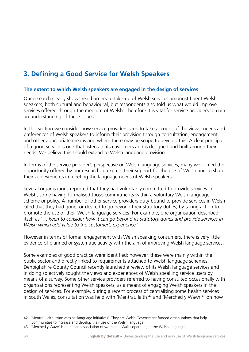# **3. Defining a Good Service for Welsh Speakers**

# **The extent to which Welsh speakers are engaged in the design of services**

Our research clearly shows real barriers to take-up of Welsh services amongst fluent Welsh speakers, both cultural and behavioural, but respondents also told us what would improve services offered through the medium of Welsh. Therefore it is vital for service providers to gain an understanding of these issues.

In this section we consider how service providers seek to take account of the views, needs and preferences of Welsh speakers to inform their provision through consultation, engagement and other appropriate means and where there may be scope to develop this. A clear principle of a good service is one that listens to its customers and is designed and built around their needs. We believe this should extend to Welsh language provision.

In terms of the service provider's perspective on Welsh language services, many welcomed the opportunity offered by our research to express their support for the use of Welsh and to share their achievements in meeting the language needs of Welsh speakers.

Several organisations reported that they had voluntarily committed to provide services in Welsh, some having formalised those commitments within a voluntary Welsh language scheme or policy. A number of other service providers duty-bound to provide services in Welsh cited that they had gone, or desired to go beyond their statutory duties, by taking action to promote the use of their Welsh language services. For example, one organisation described itself as '….*keen to consider how it can go beyond its statutory duties and provide services in Welsh which add value to the customer's experience.*'

However in terms of formal engagement with Welsh speaking consumers, there is very little evidence of planned or systematic activity with the aim of improving Welsh language services.

Some examples of good practice were identified; however, these were mainly within the public sector and directly linked to requirements attached to Welsh language schemes. Denbighshire County Council recently launched a review of its Welsh language services and in doing so actively sought the views and experiences of Welsh speaking service users by means of a survey. Some other service providers referred to having consulted occasionally with organisations representing Welsh speakers, as a means of engaging Welsh speakers in the design of services. For example, during a recent process of centralising some health services in south Wales, consultation was held with 'Mentrau laith'<sup>42</sup> and 'Merched y Wawr'<sup>43</sup> on how

<sup>42 &#</sup>x27;Mentrau Iaith' translates as 'language initiatives'. They are Welsh Government funded organisations that help communities to increase and develop their use of the Welsh language

<sup>43 &#</sup>x27;Merched y Wawr' is a national association of women in Wales operating in the Welsh language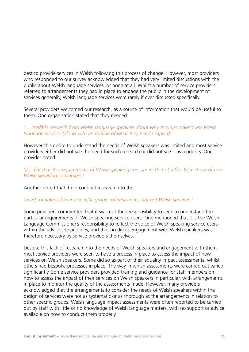best to provide services in Welsh following this process of change. However, most providers who responded to our survey acknowledged that they had very limited discussions with the public about Welsh language services, or none at all. Whilst a number of service providers referred to arrangements they had in place to engage the public in the development of services generally, Welsh language services were rarely if ever discussed specifically.

Several providers welcomed our research, as a source of information that would be useful to them. One organisation stated that they needed

# *'….credible research from Welsh language speakers about why they use / don't use Welsh language services (along with an outline of what they need / expect).'*

However this desire to understand the needs of Welsh speakers was limited and most service providers either did not see the need for such research or did not see it as a priority. One provider noted:

*'It is felt that the requirements of Welsh speaking consumers do not differ from those of non-Welsh speaking consumers.'* 

Another noted that it did conduct research into the:

# *'needs of vulnerable and specific groups of customers, but not Welsh speakers'.*

Some providers commented that it was not their responsibility to seek to understand the particular requirements of Welsh speaking service users. One mentioned that it is the Welsh Language Commissioner's responsibility to reflect the voice of Welsh speaking service users within the advice she provides, and that no direct engagement with Welsh speakers was therefore necessary by service providers themselves.

Despite this lack of research into the needs of Welsh speakers and engagement with them, most service providers were seen to have a process in place to assess the impact of new services on Welsh speakers. Some did so as part of their equality impact assessments, whilst others had bespoke processes in place. The way in which assessments were carried out varied significantly. Some service providers provided training and guidance for staff members on how to assess the impact of their services on Welsh speakers in particular, with arrangements in place to monitor the quality of the assessments made. However, many providers acknowledged that the arrangements to consider the needs of Welsh speakers within the design of services were not as systematic or as thorough as the arrangements in relation to other specific groups. Welsh language impact assessments were often reported to be carried out by staff with little or no knowledge of Welsh language matters, with no support or advice available on how to conduct them properly.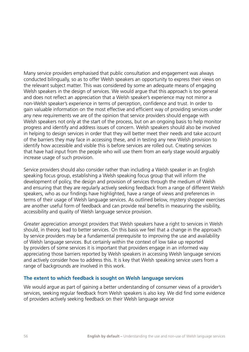Many service providers emphasised that public consultation and engagement was always conducted bilingually, so as to offer Welsh speakers an opportunity to express their views on the relevant subject matter. This was considered by some an adequate means of engaging Welsh speakers in the design of services. We would argue that this approach is too general and does not reflect an appreciation that a Welsh speaker's experience may not mirror a non-Welsh speaker's experience in terms of perception, confidence and trust. In order to gain valuable information on the most effective and efficient way of providing services under any new requirements we are of the opinion that service providers should engage with Welsh speakers not only at the start of the process, but on an ongoing basis to help monitor progress and identify and address issues of concern. Welsh speakers should also be involved in helping to design services in order that they will better meet their needs and take account of the barriers they may face in accessing these, and in testing any new Welsh provision to identify how accessible and visible this is before services are rolled out. Creating services that have had input from the people who will use them from an early stage would arguably increase usage of such provision.

Service providers should also consider rather than including a Welsh speaker in an English speaking focus group, establishing a Welsh speaking focus group that will inform the development of policy, the design and provision of services through the medium of Welsh and ensuring that they are regularly actively seeking feedback from a range of different Welsh speakers, who as our findings have highlighted, have a range of views and preferences in terms of their usage of Welsh language services. As outlined below, mystery shopper exercises are another useful form of feedback and can provide real benefits in measuring the visibility, accessibility and quality of Welsh language service provision.

Greater appreciation amongst providers that Welsh speakers have a right to services in Welsh should, in theory, lead to better services. On this basis we feel that a change in the approach by service providers may be a fundamental prerequisite to improving the use and availability of Welsh language services. But certainly within the context of low take up reported by providers of some services it is important that providers engage in an informed way appreciating those barriers reported by Welsh speakers in accessing Welsh language services and actively consider how to address this. It is key that Welsh speaking service users from a range of backgrounds are involved in this work.

#### **The extent to which feedback is sought on Welsh language services**

We would argue as part of gaining a better understanding of consumer views of a provider's services, seeking regular feedback from Welsh speakers is also key. We did find some evidence of providers actively seeking feedback on their Welsh language service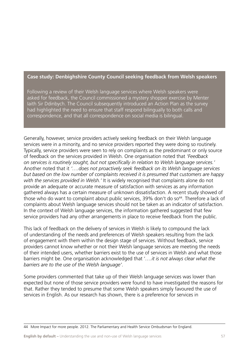## **Case study: Denbighshire County Council seeking feedback from Welsh speakers**

Following a review of their Welsh language services where Welsh speakers were asked for feedback, the Council commissioned a mystery shopper exercise by Menter Iaith Sir Ddinbych. The Council subsequently introduced an Action Plan as the survey had highlighted the need to ensure that staff respond bilingually to both calls and correspondence, and that all correspondence on social media is bilingual.

Generally, however, service providers actively seeking feedback on their Welsh language services were in a minority, and no service providers reported they were doing so routinely. Typically, service providers were seen to rely on complaints as the predominant or only source of feedback on the services provided in Welsh. One organisation noted that *'Feedback on services is routinely sought, but not specifically in relation to Welsh language services.'* Another noted that it *'….does not proactively seek feedback on its Welsh language services but based on the low number of complaints received it is presumed that customers are happy with the services provided in Welsh.'* It is widely recognised that complaints alone do not provide an adequate or accurate measure of satisfaction with services as any information gathered always has a certain measure of unknown dissatisfaction. A recent study showed of those who do want to complaint about public services, 39% don't do so<sup>44</sup>. Therefore a lack of complaints about Welsh language services should not be taken as an indicator of satisfaction. In the context of Welsh language services, the information gathered suggested that few service providers had any other arrangements in place to receive feedback from the public.

This lack of feedback on the delivery of services in Welsh is likely to compound the lack of understanding of the needs and preferences of Welsh speakers resulting from the lack of engagement with them within the design stage of services. Without feedback, service providers cannot know whether or not their Welsh language services are meeting the needs of their intended users, whether barriers exist to the use of services in Welsh and what those barriers might be. One organisation acknowledged that '*….it is not always clear what the barriers are to the use of the Welsh language'*.

Some providers commented that take up of their Welsh language services was lower than expected but none of those service providers were found to have investigated the reasons for that. Rather they tended to presume that some Welsh speakers simply favoured the use of services in English. As our research has shown, there is a preference for services in

44 More Impact for more people. 2012. The Parliamentary and Health Service Ombudsman for England.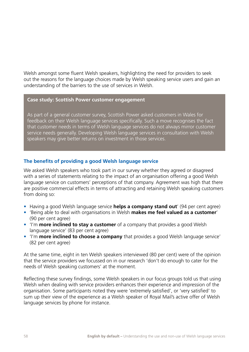Welsh amongst some fluent Welsh speakers, highlighting the need for providers to seek out the reasons for the language choices made by Welsh speaking service users and gain an understanding of the barriers to the use of services in Welsh.

#### **Case study: Scottish Power customer engagement**

As part of a general customer survey, Scottish Power asked customers in Wales for feedback on their Welsh language services specifically. Such a move recognises the fact that customer needs in terms of Welsh language services do not always mirror customer service needs generally. Developing Welsh language services in consultation with Welsh speakers may give better returns on investment in those services.

# **The benefits of providing a good Welsh language service**

We asked Welsh speakers who took part in our survey whether they agreed or disagreed with a series of statements relating to the impact of an organisation offering a good Welsh language service on customers' perceptions of that company. Agreement was high that there are positive commercial effects in terms of attracting and retaining Welsh speaking customers from doing so:

- Having a good Welsh language service **helps a company stand out**' (94 per cent agree)
- • 'Being able to deal with organisations in Welsh **makes me feel valued as a customer**' (90 per cent agree)
- 'I'm **more inclined to stay a customer** of a company that provides a good Welsh language service' (83 per cent agree)
- 'I'm **more inclined to choose a company** that provides a good Welsh language service' (82 per cent agree)

At the same time, eight in ten Welsh speakers interviewed (80 per cent) were of the opinion that the service providers we focussed on in our research 'don't do enough to cater for the needs of Welsh speaking customers' at the moment.

Reflecting these survey findings, some Welsh speakers in our focus groups told us that using Welsh when dealing with service providers enhances their experience and impression of the organisation. Some participants noted they were 'extremely satisfied', or 'very satisfied' to sum up their view of the experience as a Welsh speaker of Royal Mail's active offer of Welsh language services by phone for instance.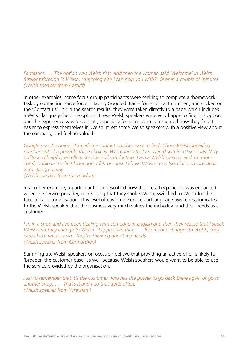# *Fantastic! . . . The option was Welsh first, and then the woman said 'Welcome' in Welsh. Straight through in Welsh. 'Anything else I can help you with?' Over in a couple of minutes. (Welsh speaker from Cardiff)*

In other examples, some focus group participants were seeking to complete a 'homework' task by contacting Parcelforce . Having Googled 'Parcelforce contact number', and clicked on the 'Contact us' link in the search results, they were taken directly to a page which includes a Welsh language helpline option. These Welsh speakers were very happy to find this option and the experience was 'excellent', especially for some who commented how they find it easier to express themselves in Welsh. It left some Welsh speakers with a positive view about the company, and feeling valued.

*Google search engine: 'Parcelforce contact number easy to find. Chose Welsh speaking number out of a possible three choices. Was connected/ answered within 10 seconds. Very polite and helpful, excellent service. Full satisfaction. I am a Welsh speaker and am more comfortable in my first language. I felt because I chose Welsh I was 'special' and was dealt with straight away. (Welsh speaker from Caernarfon)*

In another example, a participant also described how their retail experience was enhanced when the service provider, on realising that they spoke Welsh, switched to Welsh for the face-to-face conversation. This level of customer service and language awareness indicates to the Welsh speaker that the business very much values the individual and their needs as a customer.

*I'm in a shop and I've been dealing with someone in English and then they realise that I speak Welsh and they change to Welsh - I appreciate that. . . . If someone changes to Welsh, they care about what I want, they're thinking about my needs. (Welsh speaker from Carmarthen)*

Summing up, Welsh speakers on occasion believe that providing an active offer is likely to 'broaden the customer base' as well because Welsh speakers would want to be able to use the service provided by the organisation.

*Just to remember that it's the customer who has the power to go back there again or go to another shop. . . . That's it and I do that quite often. (Welsh speaker from Wrexham)*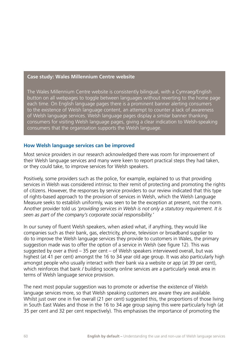#### **Case study: Wales Millennium Centre website**

The Wales Millennium Centre website is consistently bilingual, with a Cymraeg/English button on all webpages to toggle between languages without reverting to the home page each time. On English language pages there is a prominent banner alerting consumers to the existence of Welsh language content, an attempt to counter a lack of awareness of Welsh language services. Welsh language pages display a similar banner thanking consumers for visiting Welsh language pages, giving a clear indication to Welsh-speaking consumers that the organisation supports the Welsh language.

#### **How Welsh language services can be improved**

Most service providers in our research acknowledged there was room for improvement of their Welsh language services and many were keen to report practical steps they had taken, or they could take, to improve services for Welsh speakers.

Positively, some providers such as the police, for example, explained to us that providing services in Welsh was considered intrinsic to their remit of protecting and promoting the rights of citizens. However, the responses by service providers to our review indicated that this type of rights-based approach to the provision of services in Welsh, which the Welsh Language Measure seeks to establish uniformly, was seen to be the exception at present, not the norm. Another provider told us *'providing services in Welsh is not only a statutory requirement. It is seen as part of the company's corporate social responsibility.'*

In our survey of fluent Welsh speakers, when asked what, if anything, they would like companies such as their bank, gas, electricity, phone, television or broadband supplier to do to improve the Welsh language services they provide to customers in Wales, the primary suggestion made was to offer the option of a service in Welsh (see figure 12). This was suggested by over a third – 35 per cent – of Welsh speakers interviewed overall, but was highest (at 41 per cent) amongst the 16 to 34 year old age group. It was also particularly high amongst people who usually interact with their bank via a website or app (at 39 per cent), which reinforces that bank / building society online services are a particularly weak area in terms of Welsh language service provision.

The next most popular suggestion was to promote or advertise the existence of Welsh language services more, so that Welsh speaking customers are aware they are available. Whilst just over one in five overall (21 per cent) suggested this, the proportions of those living in South East Wales and those in the 16 to 34 age group saying this were particularly high (at 35 per cent and 32 per cent respectively). This emphasises the importance of promoting the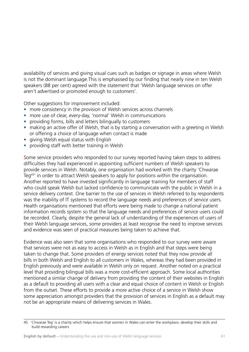availability of services and giving visual cues such as badges or signage in areas where Welsh is not the dominant language.This is emphasised by our finding that nearly nine in ten Welsh speakers (88 per cent) agreed with the statement that 'Welsh language services on offer aren't advertised or promoted enough to customers'.

Other suggestions for improvement included:

- more consistency in the provision of Welsh services across channels
- more use of clear, every-day, 'normal' Welsh in communications
- providing forms, bills and letters bilingually to customers
- making an active offer of Welsh, that is by starting a conversation with a greeting in Welsh or offering a choice of language when contact is made
- giving Welsh equal status with English
- providing staff with better training in Welsh

Some service providers who responded to our survey reported having taken steps to address difficulties they had experienced in appointing sufficient numbers of Welsh speakers to provide services in Welsh. Notably, one organisation had worked with the charity 'Chwarae Teg<sup>45'</sup> in order to attract Welsh speakers to apply for positions within the organisation. Another reported to have invested significantly in language training for members of staff who could speak Welsh but lacked confidence to communicate with the public in Welsh in a service delivery context. One barrier to the use of services in Welsh referred to by respondents was the inability of IT systems to record the language needs and preferences of service users. Health organisations mentioned that efforts were being made to change a national patient information records system so that the language needs and preferences of service users could be recorded. Clearly, despite the general lack of understanding of the experiences of users of their Welsh language services, some providers at least recognise the need to improve services and evidence was seen of practical measures being taken to achieve that.

Evidence was also seen that some organisations who responded to our survey were aware that services were not as easy to access in Welsh as in English and that steps were being taken to change that. Some providers of energy services noted that they now provide all bills in both Welsh and English to all customers in Wales, whereas they had been provided in English previously and were available in Welsh only on request. Another noted on a practical level that providing bilingual bills was a more cost-efficient approach. Some local authorities mentioned a similar change of delivery from providing the content of their websites in English as a default to providing all users with a clear and equal choice of content in Welsh or English from the outset. These efforts to provide a more active choice of a service in Welsh show some appreciation amongst providers that the provision of services in English as a default may not be an appropriate means of delivering services in Wales.

<sup>45 &#</sup>x27;Chwarae Teg' is a charity which helps ensure that women in Wales can enter the workplace, develop their skills and build rewarding careers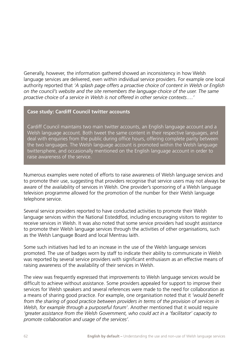Generally, however, the information gathered showed an inconsistency in how Welsh language services are delivered, even within individual service providers. For example one local authority reported that *'A splash page offers a proactive choice of content in Welsh or English on the council's website and the site remembers the language choice of the user. The same proactive choice of a service in Welsh is not offered in other service contexts….'*

#### **Case study: Cardiff Council twitter accounts**

Cardiff Council maintains two main twitter accounts, an English language account and a Welsh language account. Both tweet the same content in their respective languages, and deal with enquiries from the public during office hours, offering complete parity between the two languages. The Welsh language account is promoted within the Welsh language twittersphere, and occasionally mentioned on the English language account in order to raise awareness of the service.

Numerous examples were noted of efforts to raise awareness of Welsh language services and to promote their use, suggesting that providers recognise that service users may not always be aware of the availability of services in Welsh. One provider's sponsoring of a Welsh language television programme allowed for the promotion of the number for their Welsh language telephone service.

Several service providers reported to have conducted activities to promote their Welsh language services within the National Eisteddfod, including encouraging visitors to register to receive services in Welsh. It was also noted that some service providers had sought assistance to promote their Welsh language services through the activities of other organisations, such as the Welsh Language Board and local Mentrau Iaith.

Some such initiatives had led to an increase in the use of the Welsh language services promoted. The use of badges worn by staff to indicate their ability to communicate in Welsh was reported by several service providers with significant enthusiasm as an effective means of raising awareness of the availability of their services in Welsh.

The view was frequently expressed that improvements to Welsh language services would be difficult to achieve without assistance. Some providers appealed for support to improve their services for Welsh speakers and several references were made to the need for collaboration as a means of sharing good practice. For example, one organisation noted that it *'would benefit from the sharing of good practice between providers in terms of the provision of services in Welsh, for example through a purposeful forum'*. Another mentioned that it would require *'greater assistance from the Welsh Government, who could act in a 'facilitator' capacity to promote collaboration and usage of the services'.*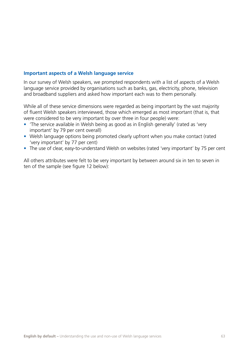## **Important aspects of a Welsh language service**

In our survey of Welsh speakers, we prompted respondents with a list of aspects of a Welsh language service provided by organisations such as banks, gas, electricity, phone, television and broadband suppliers and asked how important each was to them personally.

While all of these service dimensions were regarded as being important by the vast majority of fluent Welsh speakers interviewed, those which emerged as most important (that is, that were considered to be very important by over three in four people) were:

- The service available in Welsh being as good as in English generally' (rated as 'very important' by 79 per cent overall)
- Welsh language options being promoted clearly upfront when you make contact (rated 'very important' by 77 per cent)
- The use of clear, easy-to-understand Welsh on websites (rated 'very important' by 75 per cent

All others attributes were felt to be very important by between around six in ten to seven in ten of the sample (see figure 12 below):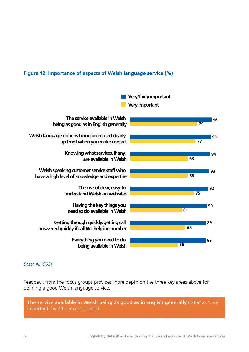## **Figure 12: Importance of aspects of Welsh language service (%)**



*Base: All (505)*

Feedback from the focus groups provides more depth on the three key areas above for defining a good Welsh language service.

**The service available in Welsh being as good as in English generally** (rated as 'very important' by 79 per cent overall)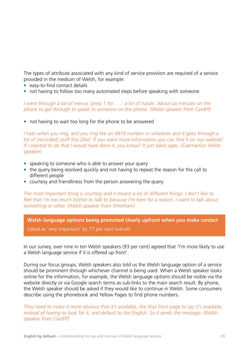The types of attribute associated with any kind of service provision are required of a service provided in the medium of Welsh, for example:

- easy-to-find contact details
- not having to follow too many automated steps before speaking with someone

*I went through a lot of menus 'press 1 for . . .' a lot of hassle. About six minutes on the phone to get through to speak to someone on the phone. (Welsh speaker from Cardiff)*

• not having to wait too long for the phone to be answered

*I hate when you ring, and you ring like an 0870 number or whatever and it goes through a lot of [recorded] stuff first [like] 'if you want more information you can find it on our website'. If I wanted to do that I would have done it, you know? It just takes ages. (Caernarfon Welsh speaker)*

- speaking to someone who is able to answer your query
- the query being resolved quickly and not having to repeat the reason for the call to different people
- courtesy and friendliness from the person answering the query

*The most important thing is courtesy and it means a lot of different things. I don't like to feel that I'm too much bother to talk to because I'm here for a reason. I want to talk about something or other. (Welsh speaker from Wrexham)*

**Welsh language options being promoted clearly upfront when you make contact**

(rated as 'very important' by 77 per cent overall)

In our survey, over nine in ten Welsh speakers (93 per cent) agreed that 'I'm more likely to use a Welsh language service if it is offered up front'.

During our focus groups, Welsh speakers also told us the Welsh language option of a service should be prominent through whichever channel is being used. When a Welsh speaker looks online for the information, for example, the Welsh language options should be visible via the website directly or via Google search terms as sub-links to the main search result. By phone, the Welsh speaker should be asked if they would like to continue in Welsh. Some consumers describe using the phonebook and Yellow Pages to find phone numbers.

*They need to make it more obvious that it's available, like that front page to say it's available, instead of having to look for it, and default to the English. So it sends the message. (Welsh speaker from Cardiff)*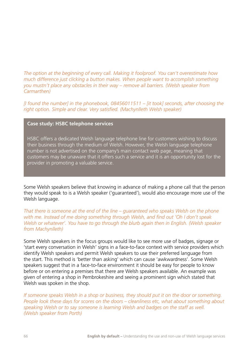*The option at the beginning of every call. Making it foolproof. You can't overestimate how much difference just clicking a button makes. When people want to accomplish something you mustn't place any obstacles in their way – remove all barriers. (Welsh speaker from Carmarthen)*

*[I found the number] in the phonebook, 08456011511 – [it took] seconds, after choosing the right option. Simple and clear. Very satisfied. (Machynlleth Welsh speaker)*

#### **Case study: HSBC telephone services**

HSBC offers a dedicated Welsh language telephone line for customers wishing to discuss their business through the medium of Welsh. However, the Welsh language telephone number is not advertised on the company's main contact web page, meaning that customers may be unaware that it offers such a service and it is an opportunity lost for the provider in promoting a valuable service.

Some Welsh speakers believe that knowing in advance of making a phone call that the person they would speak to is a Welsh speaker ('guaranteed'), would also encourage more use of the Welsh language.

*That there is someone at the end of the line – guaranteed who speaks Welsh on the phone with me. Instead of me doing something through Welsh, and find out 'Oh I don't speak Welsh or whatever'. You have to go through the blurb again then in English. (Welsh speaker from Machynlleth)*

Some Welsh speakers in the focus groups would like to see more use of badges, signage or 'start every conversation in Welsh' signs in a face-to-face context with service providers which identify Welsh speakers and permit Welsh speakers to use their preferred language from the start. This method is 'better than asking' which can cause 'awkwardness'. Some Welsh speakers suggest that in a face-to-face environment it should be easy for people to know before or on entering a premises that there are Welsh speakers available. An example was given of entering a shop in Pembrokeshire and seeing a prominent sign which stated that Welsh was spoken in the shop.

*If someone speaks Welsh in a shop or business, they should put it on the door or something. People look these days for scores on the doors – cleanliness etc, what about something about speaking Welsh or to say someone is learning Welsh and badges on the staff as well. (Welsh speaker from Porth)*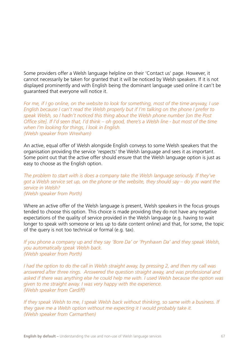Some providers offer a Welsh language helpline on their 'Contact us' page. However, it cannot necessarily be taken for granted that it will be noticed by Welsh speakers. If it is not displayed prominently and with English being the dominant language used online it can't be guaranteed that everyone will notice it.

*For me, if I go online, on the website to look for something, most of the time anyway, I use English because I can't read the Welsh properly but if I'm talking on the phone I prefer to speak Welsh, so I hadn't noticed this thing about the Welsh phone number [on the Post Office site]. If I'd seen that, I'd think – oh good, there's a Welsh line - but most of the time when I'm looking for things, I look in English. (Welsh speaker from Wrexham)*

An active, equal offer of Welsh alongside English conveys to some Welsh speakers that the organisation providing the service 'respects' the Welsh language and sees it as important. Some point out that the active offer should ensure that the Welsh language option is just as easy to choose as the English option.

#### *The problem to start with is does a company take the Welsh language seriously. If they've got a Welsh service set up, on the phone or the website, they should say – do you want the service in Welsh? (Welsh speaker from Porth)*

Where an active offer of the Welsh language is present, Welsh speakers in the focus groups tended to choose this option. This choice is made providing they do not have any negative expectations of the quality of service provided in the Welsh language (e.g. having to wait longer to speak with someone or less up to date content online) and that, for some, the topic of the query is not too technical or formal (e.g. tax).

*If you phone a company up and they say 'Bore Da' or 'Prynhawn Da' and they speak Welsh, you automatically speak Welsh back. (Welsh speaker from Porth)*

*I had the option to do the call in Welsh straight away, by pressing 2, and then my call was answered after three rings. Answered the question straight away, and was professional and asked if there was anything else he could help me with. I used Welsh because the option was given to me straight away. I was very happy with the experience. (Welsh speaker from Cardiff)*

*If they speak Welsh to me, I speak Welsh back without thinking, so same with a business. If they gave me a Welsh option without me expecting it I would probably take it. (Welsh speaker from Carmarthen)*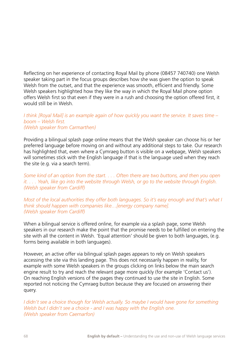Reflecting on her experience of contacting Royal Mail by phone (08457 740740) one Welsh speaker taking part in the focus groups describes how she was given the option to speak Welsh from the outset, and that the experience was smooth, efficient and friendly. Some Welsh speakers highlighted how they like the way in which the Royal Mail phone option offers Welsh first so that even if they were in a rush and choosing the option offered first, it would still be in Welsh.

#### *I think [Royal Mail] is an example again of how quickly you want the service. It saves time – boom – Welsh first. (Welsh speaker from Carmarthen)*

Providing a bilingual splash page online means that the Welsh speaker can choose his or her preferred language before moving on and without any additional steps to take. Our research has highlighted that, even where a Cymraeg button is visible on a webpage, Welsh speakers will sometimes stick with the English language if that is the language used when they reach the site (e.g. via a search term).

*Some kind of an option from the start. . . . Often there are two buttons, and then you open it. . . . Yeah, like go into the website through Welsh, or go to the website through English. (Welsh speaker from Cardiff)*

*Most of the local authorities they offer both languages. So it's easy enough and that's what I think should happen with companies like…[energy company name]. (Welsh speaker from Cardiff)*

When a bilingual service is offered online, for example via a splash page, some Welsh speakers in our research make the point that the promise needs to be fulfilled on entering the site with all the content in Welsh. 'Equal attention' should be given to both languages, (e.g. forms being available in both languages).

However, an active offer via bilingual splash pages appears to rely on Welsh speakers accessing the site via this landing page. This does not necessarily happen in reality, for example with some Welsh speakers in the groups clicking on links below the main search engine result to try and reach the relevant page more quickly (for example 'Contact us'). On reaching English versions of the pages they continued to use the site in English. Some reported not noticing the Cymraeg button because they are focused on answering their query.

*I didn't see a choice though for Welsh actually. So maybe I would have gone for something Welsh but I didn't see a choice - and I was happy with the English one. (Welsh speaker from Caernarfon)*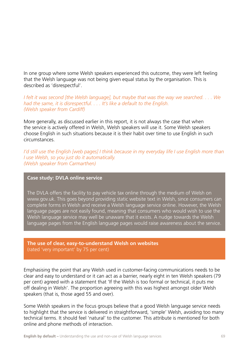In one group where some Welsh speakers experienced this outcome, they were left feeling that the Welsh language was not being given equal status by the organisation. This is described as 'disrespectful'.

*I felt it was second [the Welsh language], but maybe that was the way we searched. . . . We had the same, it is disrespectful. . . . It's like a default to the English. (Welsh speaker from Cardiff)*

More generally, as discussed earlier in this report, it is not always the case that when the service is actively offered in Welsh, Welsh speakers will use it. Some Welsh speakers choose English in such situations because it is their habit over time to use English in such circumstances.

*I'd still use the English [web pages] I think because in my everyday life I use English more than I use Welsh, so you just do it automatically. (Welsh speaker from Carmarthen)*

#### **Case study: DVLA online service**

The DVLA offers the facility to pay vehicle tax online through the medium of Welsh on www.gov.uk. This goes beyond providing static website text in Welsh, since consumers can complete forms in Welsh and receive a Welsh language service online. However, the Welsh language pages are not easily found, meaning that consumers who would wish to use the Welsh language service may well be unaware that it exists. A nudge towards the Welsh language pages from the English language pages would raise awareness about the service.

#### **The use of clear, easy-to-understand Welsh on websites**  (rated 'very important' by 75 per cent)

Emphasising the point that any Welsh used in customer-facing communications needs to be clear and easy to understand or it can act as a barrier, nearly eight in ten Welsh speakers (79 per cent) agreed with a statement that 'If the Welsh is too formal or technical, it puts me off dealing in Welsh'. The proportion agreeing with this was highest amongst older Welsh speakers (that is, those aged 55 and over).

Some Welsh speakers in the focus groups believe that a good Welsh language service needs to highlight that the service is delivered in straightforward, 'simple' Welsh, avoiding too many technical terms. It should feel 'natural' to the customer. This attribute is mentioned for both online and phone methods of interaction.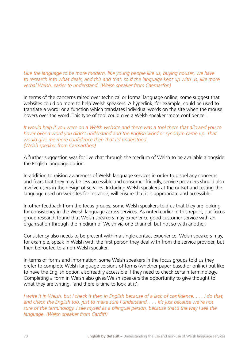Like the language to be more modern, like young people like us, buying houses, we have *to research into what deals, and this and that, so if the language kept up with us, like more verbal Welsh, easier to understand. (Welsh speaker from Caernarfon)*

In terms of the concerns raised over technical or formal language online, some suggest that websites could do more to help Welsh speakers. A hyperlink, for example, could be used to translate a word; or a function which translates individual words on the site when the mouse hovers over the word. This type of tool could give a Welsh speaker 'more confidence'.

*It would help if you were on a Welsh website and there was a tool there that allowed you to hover over a word you didn't understand and the English word or synonym came up. That would give me more confidence then that I'd understood. (Welsh speaker from Carmarthen)*

A further suggestion was for live chat through the medium of Welsh to be available alongside the English language option.

In addition to raising awareness of Welsh language services in order to dispel any concerns and fears that they may be less accessible and consumer friendly, service providers should also involve users in the design of services. Including Welsh speakers at the outset and testing the language used on websites for instance, will ensure that it is appropriate and accessible.

In other feedback from the focus groups, some Welsh speakers told us that they are looking for consistency in the Welsh language across services. As noted earlier in this report, our focus group research found that Welsh speakers may experience good customer service with an organisation through the medium of Welsh via one channel, but not so with another.

Consistency also needs to be present within a single contact experience. Welsh speakers may, for example, speak in Welsh with the first person they deal with from the service provider, but then be routed to a non-Welsh speaker.

In terms of forms and information, some Welsh speakers in the focus groups told us they prefer to complete Welsh language versions of forms (whether paper based or online) but like to have the English option also readily accessible if they need to check certain terminology. Completing a form in Welsh also gives Welsh speakers the opportunity to give thought to what they are writing, 'and there is time to look at it'.

*I write it in Welsh, but I check it then in English because of a lack of confidence. . . . I do that, and check the English too, just to make sure I understand. . . . It's just because we're not sure of the terminology. I see myself as a bilingual person, because that's the way I see the language. (Welsh speaker from Cardiff)*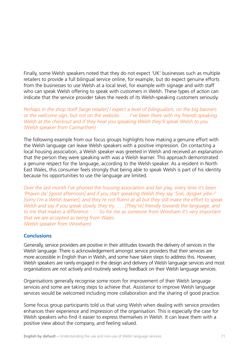Finally, some Welsh speakers noted that they do not expect 'UK' businesses such as multiple retailers to provide a full bilingual service online, for example, but do expect genuine efforts from the businesses to use Welsh at a local level, for example with signage and with staff who can speak Welsh offering to speak with customers in Welsh. These types of action can indicate that the service provider takes the needs of its Welsh-speaking customers seriously.

*Perhaps in the shop itself [large retailer] I expect a level of bilingualism, on the big banners or the welcome sign, but not on the website. . . . I've been there with my friends speaking Welsh at the checkout and if they hear you speaking Welsh they'll speak Welsh to you. (Welsh speaker from Carmarthen)*

The following example from our focus groups highlights how making a genuine effort with the Welsh language can leave Welsh speakers with a positive impression. On contacting a local housing association, a Welsh speaker was greeted in Welsh and received an explanation that the person they were speaking with was a Welsh learner. This approach demonstrated a genuine respect for the language, according to the Welsh speaker. As a resident in North East Wales, this consumer feels strongly that being able to speak Welsh is part of his identity because his opportunities to use the language are limited.

*Over the last month I've phoned the housing association and fair play, every time it's been 'Pnawn da' [good afternoon] and if you start speaking Welsh they say 'Sori, dysgwr ydw i' [sorry I'm a Welsh learner]; and they're not fluent at all but they still make the effort to speak Welsh and say if you speak slowly, they try. . . . [They're] friendly towards the language, and to me that makes a difference. . . . So for me as someone from Wrexham it's very important that we are accepted as being from Wales. (Welsh speaker from Wrexham)*

# **Conclusions**

Generally, service providers are positive in their attitudes towards the delivery of services in the Welsh language. There is acknowledgement amongst service providers that their services are more accessible in English than in Welsh, and some have taken steps to address this. However, Welsh speakers are rarely engaged in the design and delivery of Welsh language services and most organisations are not actively and routinely seeking feedback on their Welsh language services.

Organisations generally recognise some room for improvement of their Welsh language services and some are taking steps to achieve that. Assistance to improve Welsh language services would be welcomed including more collaboration and the sharing of good practice.

Some focus group participants told us that using Welsh when dealing with service providers enhances their experience and impression of the organisation. This is especially the case for Welsh speakers who find it easier to express themselves in Welsh. It can leave them with a positive view about the company, and feeling valued.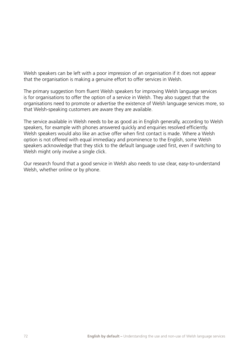Welsh speakers can be left with a poor impression of an organisation if it does not appear that the organisation is making a genuine effort to offer services in Welsh.

The primary suggestion from fluent Welsh speakers for improving Welsh language services is for organisations to offer the option of a service in Welsh. They also suggest that the organisations need to promote or advertise the existence of Welsh language services more, so that Welsh-speaking customers are aware they are available.

The service available in Welsh needs to be as good as in English generally, according to Welsh speakers, for example with phones answered quickly and enquiries resolved efficiently. Welsh speakers would also like an active offer when first contact is made. Where a Welsh option is not offered with equal immediacy and prominence to the English, some Welsh speakers acknowledge that they stick to the default language used first, even if switching to Welsh might only involve a single click.

Our research found that a good service in Welsh also needs to use clear, easy-to-understand Welsh, whether online or by phone.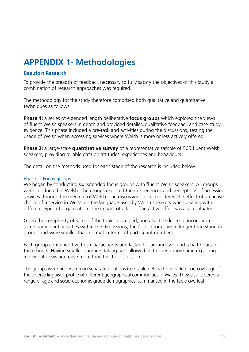## **APPENDIX 1- Methodologies**

### **Beaufort Research**

To provide the breadth of feedback necessary to fully satisfy the objectives of this study a combination of research approaches was required.

The methodology for the study therefore comprised both qualitative and quantitative techniques as follows:

**Phase 1:** a series of extended length deliberative **focus groups** which explored the views of fluent Welsh speakers in depth and provided detailed qualitative feedback and case study evidence. This phase included a pre-task and activities during the discussions, testing the usage of Welsh when accessing services where Welsh is more or less actively offered.

**Phase 2:** a large-scale **quantitative survey** of a representative sample of 505 fluent Welsh speakers, providing reliable data on attitudes, experiences and behaviours.

The detail on the methods used for each stage of the research is included below.

#### Phase 1: Focus groups

We began by conducting six extended focus groups with fluent Welsh speakers. All groups were conducted in Welsh. The groups explored their experiences and perceptions of accessing services through the medium of Welsh. The discussions also considered the effect of an active choice of a service in Welsh on the language used by Welsh speakers when dealing with different types of organisation. The impact of a lack of an active offer was also evaluated.

Given the complexity of some of the topics discussed, and also the desire to incorporate some participant activities within the discussions, the focus groups were longer than standard groups and were smaller than normal in terms of participant numbers.

Each group contained five to six participants and lasted for around two and a half hours to three hours. Having smaller numbers taking part allowed us to spend more time exploring individual views and gave more time for the discussion.

The groups were undertaken in separate locations (see table below) to provide good coverage of the diverse linguistic profile of different geographical communities in Wales. They also covered a range of age and socio-economic grade demographics, summarised in the table overleaf: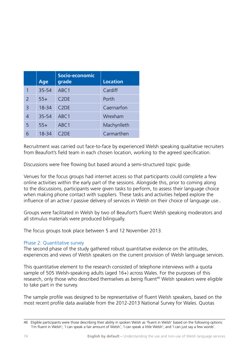|                          | <b>Age</b> | Socio-economic<br>grade       | <b>Location</b> |
|--------------------------|------------|-------------------------------|-----------------|
|                          | 35-54      | ABC1                          | Cardiff         |
| $\overline{\phantom{a}}$ | $55+$      | C <sub>2</sub> D <sub>E</sub> | Porth           |
| 3                        | 18-34      | C <sub>2</sub> D <sub>E</sub> | Caernarfon      |
| $\overline{4}$           | 35-54      | ABC <sub>1</sub>              | Wrexham         |
| 5                        | $55+$      | ABC1                          | Machynlleth     |
| հ                        | 18-34      | C <sub>2</sub> D <sub>E</sub> | Carmarthen      |

Recruitment was carried out face-to-face by experienced Welsh speaking qualitative recruiters from Beaufort's field team in each chosen location, working to the agreed specification.

Discussions were free flowing but based around a semi-structured topic guide.

Venues for the focus groups had internet access so that participants could complete a few online activities within the early part of the sessions. Alongside this, prior to coming along to the discussions, participants were given tasks to perform, to assess their language choice when making phone contact with suppliers. These tasks and activities helped explore the influence of an active / passive delivery of services in Welsh on their choice of language use..

Groups were facilitated in Welsh by two of Beaufort's fluent Welsh speaking moderators and all stimulus materials were produced bilingually.

The focus groups took place between 5 and 12 November 2013.

### Phase 2: Quantitative survey

The second phase of the study gathered robust quantitative evidence on the attitudes, experiences and views of Welsh speakers on the current provision of Welsh language services.

This quantitative element to the research consisted of telephone interviews with a quota sample of 505 Welsh-speaking adults (aged 16+) across Wales. For the purposes of this research, only those who described themselves as being fluent<sup>46</sup> Welsh speakers were eligible to take part in the survey.

The sample profile was designed to be representative of fluent Welsh speakers, based on the most recent profile data available from the 2012-2013 National Survey for Wales. Quotas

<sup>46</sup> Eligible participants were those describing their ability in spoken Welsh as 'fluent in Welsh' based on the following options: 'I'm fluent in Welsh'; 'I can speak a fair amount of Welsh'; 'I can speak a little Welsh'; and 'I can just say a few words'.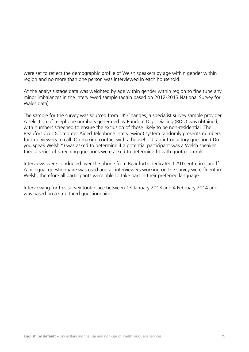were set to reflect the demographic profile of Welsh speakers by age within gender within region and no more than one person was interviewed in each household.

At the analysis stage data was weighted by age within gender within region to fine tune any minor imbalances in the interviewed sample (again based on 2012-2013 National Survey for Wales data).

The sample for the survey was sourced from UK Changes, a specialist survey sample provider. A selection of telephone numbers generated by Random Digit Dialling (RDD) was obtained, with numbers screened to ensure the exclusion of those likely to be non-residential. The Beaufort CATI (Computer Aided Telephone Interviewing) system randomly presents numbers for interviewers to call. On making contact with a household, an introductory question ('Do you speak Welsh?') was asked to determine if a potential participant was a Welsh speaker, then a series of screening questions were asked to determine fit with quota controls.

Interviews were conducted over the phone from Beaufort's dedicated CATI centre in Cardiff. A bilingual questionnaire was used and all interviewers working on the survey were fluent in Welsh, therefore all participants were able to take part in their preferred language.

Interviewing for this survey took place between 13 January 2013 and 4 February 2014 and was based on a structured questionnaire.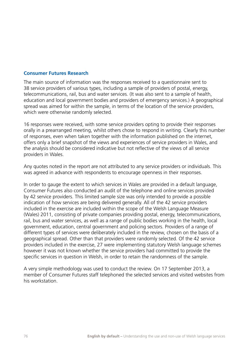#### **Consumer Futures Research**

The main source of information was the responses received to a questionnaire sent to 38 service providers of various types, including a sample of providers of postal, energy, telecommunications, rail, bus and water services. (It was also sent to a sample of health, education and local government bodies and providers of emergency services.) A geographical spread was aimed for within the sample, in terms of the location of the service providers, which were otherwise randomly selected.

16 responses were received, with some service providers opting to provide their responses orally in a prearranged meeting, whilst others chose to respond in writing. Clearly this number of responses, even when taken together with the information published on the internet, offers only a brief snapshot of the views and experiences of service providers in Wales, and the analysis should be considered indicative but not reflective of the views of all service providers in Wales.

Any quotes noted in the report are not attributed to any service providers or individuals. This was agreed in advance with respondents to encourage openness in their responses.

In order to gauge the extent to which services in Wales are provided in a default language, Consumer Futures also conducted an audit of the telephone and online services provided by 42 service providers. This limited sample size was only intended to provide a possible indication of how services are being delivered generally. All of the 42 service providers included in the exercise are included within the scope of the Welsh Language Measure (Wales) 2011, consisting of private companies providing postal, energy, telecommunications, rail, bus and water services, as well as a range of public bodies working in the health, local government, education, central government and policing sectors. Providers of a range of different types of services were deliberately included in the review, chosen on the basis of a geographical spread. Other than that providers were randomly selected. Of the 42 service providers included in the exercise, 27 were implementing statutory Welsh language schemes however it was not known whether the service providers had committed to provide the specific services in question in Welsh, in order to retain the randomness of the sample.

A very simple methodology was used to conduct the review. On 17 September 2013, a member of Consumer Futures staff telephoned the selected services and visited websites from his workstation.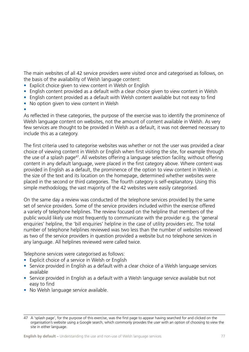The main websites of all 42 service providers were visited once and categorised as follows, on the basis of the availability of Welsh language content:

- Explicit choice given to view content in Welsh or Enalish
- English content provided as a default with a clear choice given to view content in Welsh
- English content provided as a default with Welsh content available but not easy to find
- No option given to view content in Welsh

#### •

As reflected in these categories, the purpose of the exercise was to identify the prominence of Welsh language content on websites, not the amount of content available in Welsh. As very few services are thought to be provided in Welsh as a default, it was not deemed necessary to include this as a category.

The first criteria used to categorise websites was whether or not the user was provided a clear choice of viewing content in Welsh or English when first visiting the site, for example through the use of a splash page<sup>47</sup>. All websites offering a language selection facility, without offering content in any default language, were placed in the first category above. Where content was provided in English as a default, the prominence of the option to view content in Welsh i.e. the size of the text and its location on the homepage, determined whether websites were placed in the second or third categories. The fourth category is self-explanatory. Using this simple methodology, the vast majority of the 42 websites were easily categorised.

On the same day a review was conducted of the telephone services provided by the same set of service providers. Some of the service providers included within the exercise offered a variety of telephone helplines. The review focused on the helpline that members of the public would likely use most frequently to communicate with the provider e.g. the 'general enquiries' helpline, the 'bill enquiries' helpline in the case of utility providers etc. The total number of telephone helplines reviewed was two less than the number of websites reviewed as two of the service providers in question provided a website but no telephone services in any language. All helplines reviewed were called twice.

Telephone services were categorised as follows:

- Explicit choice of a service in Welsh or English
- Service provided in English as a default with a clear choice of a Welsh language services available
- Service provided in English as a default with a Welsh language service available but not easy to find
- No Welsh language service available.

<sup>47</sup> A 'splash page', for the purpose of this exercise, was the first page to appear having searched for and clicked on the organisation's website using a Google search, which commonly provides the user with an option of choosing to view the site in either language.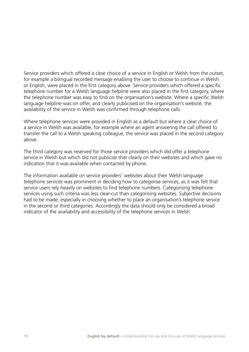Service providers which offered a clear choice of a service in English or Welsh from the outset, for example a bilingual recorded message enabling the user to choose to continue in Welsh or English, were placed in the first category above. Service providers which offered a specific telephone number for a Welsh language helpline were also placed in the first category, where the telephone number was easy to find on the organisation's website. Where a specific Welsh language helpline was on offer, and clearly publicised on the organisation's website, the availability of the service in Welsh was confirmed through telephone calls.

Where telephone services were provided in English as a default but where a clear choice of a service in Welsh was available, for example where an agent answering the call offered to transfer the call to a Welsh speaking colleague, the service was placed in the second category above.

The third category was reserved for those service providers which did offer a telephone service in Welsh but which did not publicise that clearly on their websites and which gave no indication that it was available when contacted by phone.

The information available on service providers' websites about their Welsh language telephone services was prominent in deciding how to categorise services, as it was felt that service users rely heavily on websites to find telephone numbers. Categorising telephone services using such criteria was less clear-cut than categorising websites. Subjective decisions had to be made, especially in choosing whether to place an organisation's telephone service in the second or third categories. Accordingly the data should only be considered a broad indicator of the availability and accessibility of the telephone services in Welsh.